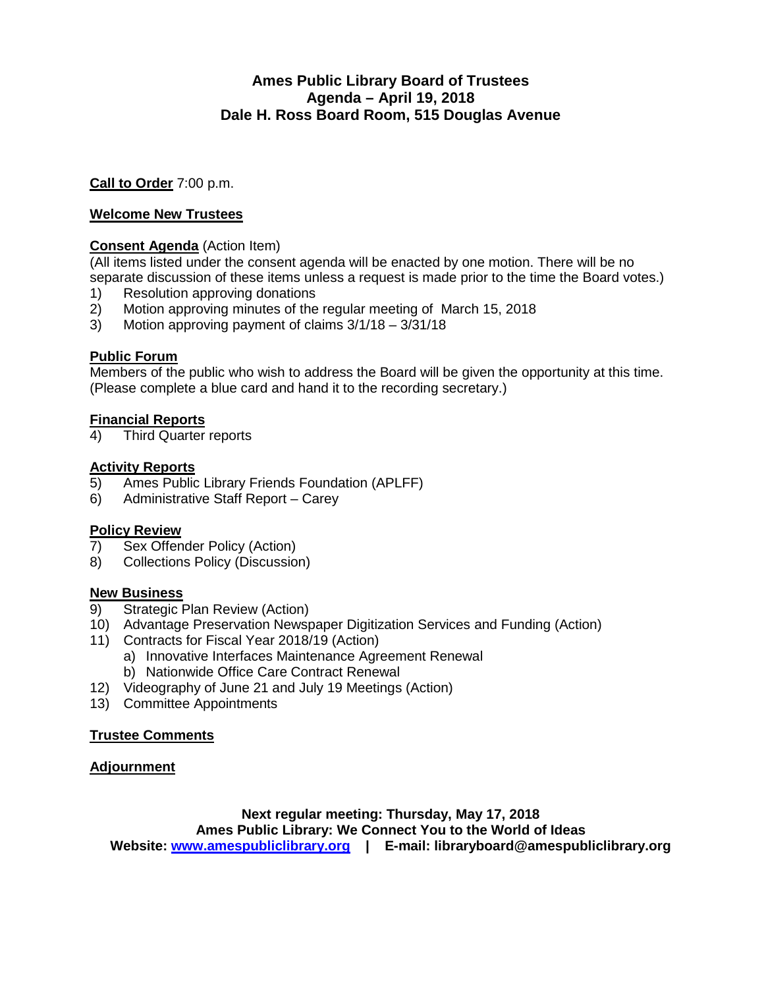#### **Ames Public Library Board of Trustees Agenda – April 19, 2018 Dale H. Ross Board Room, 515 Douglas Avenue**

**Call to Order** 7:00 p.m.

#### **Welcome New Trustees**

#### **Consent Agenda** (Action Item)

(All items listed under the consent agenda will be enacted by one motion. There will be no separate discussion of these items unless a request is made prior to the time the Board votes.)

- 
- 1) Resolution approving donations<br>2) Motion approving minutes of the 2) Motion approving minutes of the regular meeting of March 15, 2018
- 3) Motion approving payment of claims 3/1/18 3/31/18

#### **Public Forum**

Members of the public who wish to address the Board will be given the opportunity at this time. (Please complete a blue card and hand it to the recording secretary.)

#### **Financial Reports**

4) Third Quarter reports

# Activity Reports<br>5) Ames Public

- 5) Ames Public Library Friends Foundation (APLFF)
- 6) Administrative Staff Report Carey

#### **Policy Review**

- 7) Sex Offender Policy (Action)
- 8) Collections Policy (Discussion)

#### **New Business**

- 9) Strategic Plan Review (Action)
- 10) Advantage Preservation Newspaper Digitization Services and Funding (Action)
- 11) Contracts for Fiscal Year 2018/19 (Action)
	- a) Innovative Interfaces Maintenance Agreement Renewal
		- b) Nationwide Office Care Contract Renewal
- 12) Videography of June 21 and July 19 Meetings (Action)
- 13) Committee Appointments

#### **Trustee Comments**

#### **Adjournment**

**Next regular meeting: Thursday, May 17, 2018 Ames Public Library: We Connect You to the World of Ideas Website: [www.amespubliclibrary.org](http://www.amespubliclibrary.org/) | E-mail: libraryboard@amespubliclibrary.org**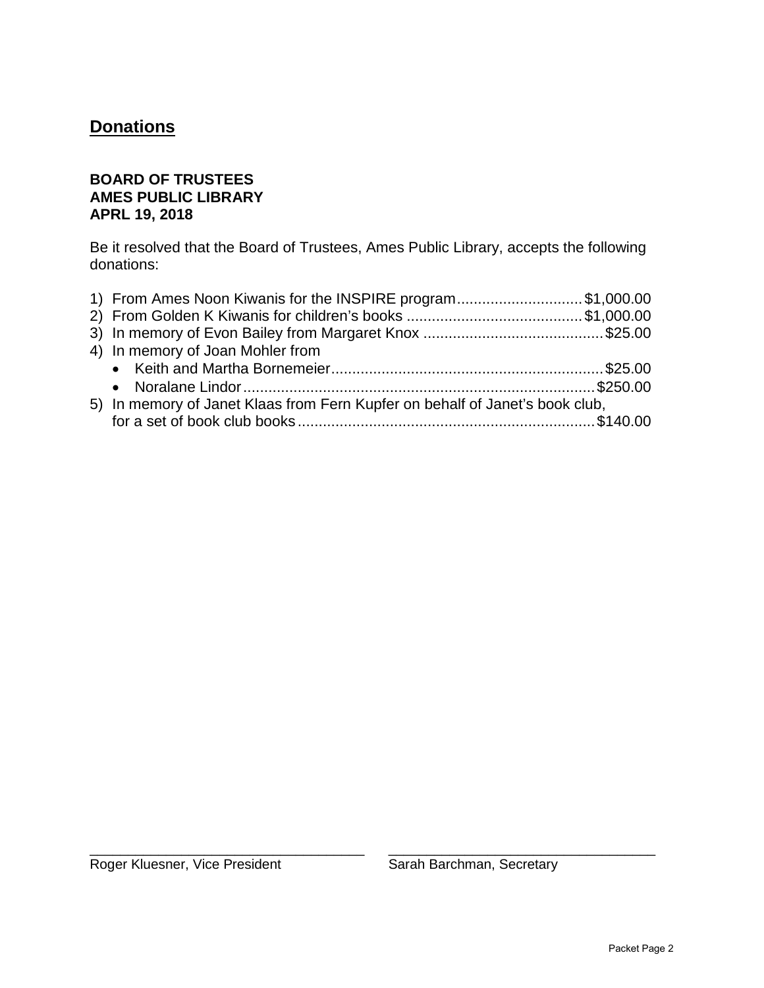## **Donations**

#### **BOARD OF TRUSTEES AMES PUBLIC LIBRARY APRL 19, 2018**

Be it resolved that the Board of Trustees, Ames Public Library, accepts the following donations:

| 1) From Ames Noon Kiwanis for the INSPIRE program\$1,000.00                  |  |
|------------------------------------------------------------------------------|--|
|                                                                              |  |
|                                                                              |  |
| 4) In memory of Joan Mohler from                                             |  |
|                                                                              |  |
|                                                                              |  |
| 5) In memory of Janet Klaas from Fern Kupfer on behalf of Janet's book club, |  |
|                                                                              |  |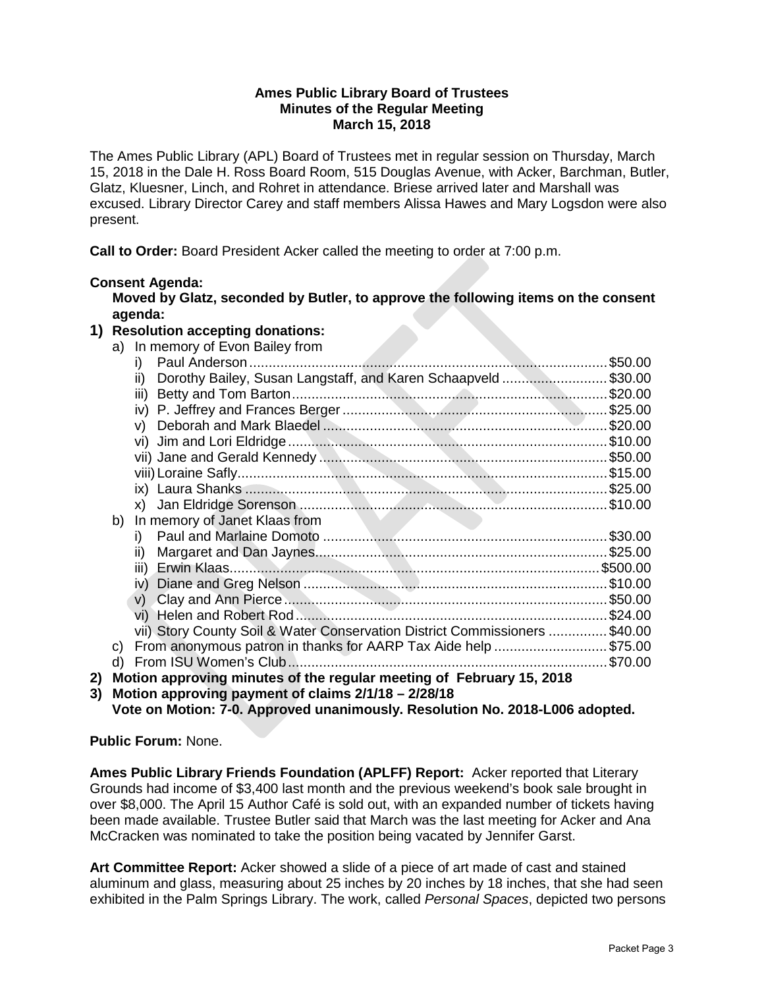#### **Ames Public Library Board of Trustees Minutes of the Regular Meeting March 15, 2018**

The Ames Public Library (APL) Board of Trustees met in regular session on Thursday, March 15, 2018 in the Dale H. Ross Board Room, 515 Douglas Avenue, with Acker, Barchman, Butler, Glatz, Kluesner, Linch, and Rohret in attendance. Briese arrived later and Marshall was excused. Library Director Carey and staff members Alissa Hawes and Mary Logsdon were also present.

**Call to Order:** Board President Acker called the meeting to order at 7:00 p.m.

#### **Consent Agenda:**

**Moved by Glatz, seconded by Butler, to approve the following items on the consent agenda:**

#### **1) Resolution accepting donations:**

|    |    | a) In memory of Evon Bailey from                                            |         |
|----|----|-----------------------------------------------------------------------------|---------|
|    |    | i)                                                                          | \$50.00 |
|    |    | Dorothy Bailey, Susan Langstaff, and Karen Schaapveld \$30.00<br>ii)        |         |
|    |    | iii)                                                                        |         |
|    |    | iv)                                                                         |         |
|    |    | V)                                                                          |         |
|    |    |                                                                             |         |
|    |    |                                                                             |         |
|    |    |                                                                             |         |
|    |    |                                                                             |         |
|    |    |                                                                             |         |
|    | b) | In memory of Janet Klaas from                                               |         |
|    |    | i)                                                                          |         |
|    |    | ii)                                                                         |         |
|    |    |                                                                             |         |
|    |    | iv)                                                                         |         |
|    |    | v)                                                                          |         |
|    |    |                                                                             |         |
|    |    | vii) Story County Soil & Water Conservation District Commissioners  \$40.00 |         |
|    | C) | From anonymous patron in thanks for AARP Tax Aide help \$75.00              |         |
|    | d) | From ISU Women's Club.                                                      | \$70.00 |
| 2) |    | Motion approving minutes of the regular meeting of February 15, 2018        |         |

**3) Motion approving payment of claims 2/1/18 – 2/28/18 Vote on Motion: 7-0. Approved unanimously. Resolution No. 2018-L006 adopted.**

**Public Forum:** None.

**Ames Public Library Friends Foundation (APLFF) Report:** Acker reported that Literary Grounds had income of \$3,400 last month and the previous weekend's book sale brought in over \$8,000. The April 15 Author Café is sold out, with an expanded number of tickets having been made available. Trustee Butler said that March was the last meeting for Acker and Ana McCracken was nominated to take the position being vacated by Jennifer Garst.

**Art Committee Report:** Acker showed a slide of a piece of art made of cast and stained aluminum and glass, measuring about 25 inches by 20 inches by 18 inches, that she had seen exhibited in the Palm Springs Library. The work, called *Personal Spaces*, depicted two persons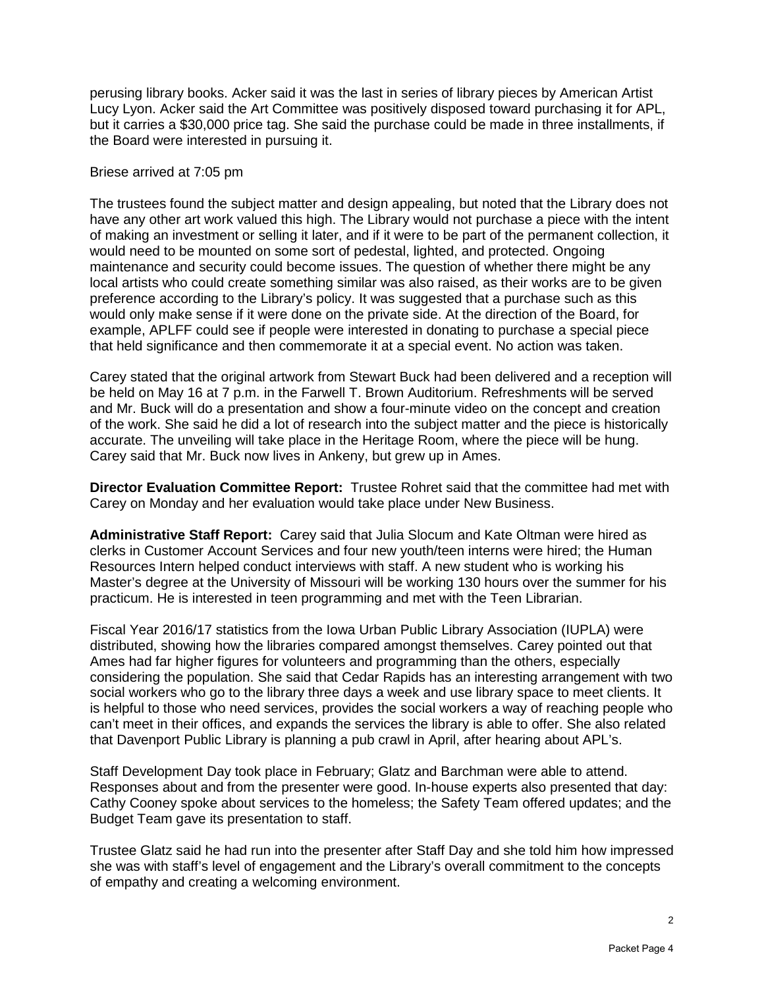perusing library books. Acker said it was the last in series of library pieces by American Artist Lucy Lyon. Acker said the Art Committee was positively disposed toward purchasing it for APL, but it carries a \$30,000 price tag. She said the purchase could be made in three installments, if the Board were interested in pursuing it.

#### Briese arrived at 7:05 pm

The trustees found the subject matter and design appealing, but noted that the Library does not have any other art work valued this high. The Library would not purchase a piece with the intent of making an investment or selling it later, and if it were to be part of the permanent collection, it would need to be mounted on some sort of pedestal, lighted, and protected. Ongoing maintenance and security could become issues. The question of whether there might be any local artists who could create something similar was also raised, as their works are to be given preference according to the Library's policy. It was suggested that a purchase such as this would only make sense if it were done on the private side. At the direction of the Board, for example, APLFF could see if people were interested in donating to purchase a special piece that held significance and then commemorate it at a special event. No action was taken.

Carey stated that the original artwork from Stewart Buck had been delivered and a reception will be held on May 16 at 7 p.m. in the Farwell T. Brown Auditorium. Refreshments will be served and Mr. Buck will do a presentation and show a four-minute video on the concept and creation of the work. She said he did a lot of research into the subject matter and the piece is historically accurate. The unveiling will take place in the Heritage Room, where the piece will be hung. Carey said that Mr. Buck now lives in Ankeny, but grew up in Ames.

**Director Evaluation Committee Report:** Trustee Rohret said that the committee had met with Carey on Monday and her evaluation would take place under New Business.

**Administrative Staff Report:** Carey said that Julia Slocum and Kate Oltman were hired as clerks in Customer Account Services and four new youth/teen interns were hired; the Human Resources Intern helped conduct interviews with staff. A new student who is working his Master's degree at the University of Missouri will be working 130 hours over the summer for his practicum. He is interested in teen programming and met with the Teen Librarian.

Fiscal Year 2016/17 statistics from the Iowa Urban Public Library Association (IUPLA) were distributed, showing how the libraries compared amongst themselves. Carey pointed out that Ames had far higher figures for volunteers and programming than the others, especially considering the population. She said that Cedar Rapids has an interesting arrangement with two social workers who go to the library three days a week and use library space to meet clients. It is helpful to those who need services, provides the social workers a way of reaching people who can't meet in their offices, and expands the services the library is able to offer. She also related that Davenport Public Library is planning a pub crawl in April, after hearing about APL's.

Staff Development Day took place in February; Glatz and Barchman were able to attend. Responses about and from the presenter were good. In-house experts also presented that day: Cathy Cooney spoke about services to the homeless; the Safety Team offered updates; and the Budget Team gave its presentation to staff.

Trustee Glatz said he had run into the presenter after Staff Day and she told him how impressed she was with staff's level of engagement and the Library's overall commitment to the concepts of empathy and creating a welcoming environment.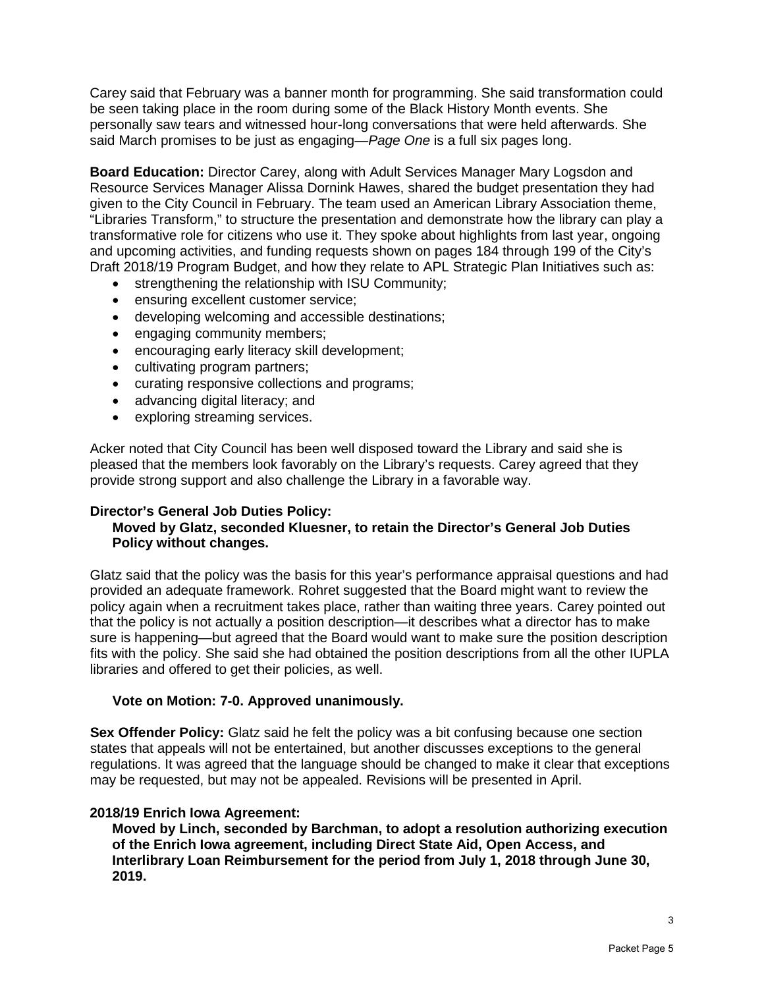Carey said that February was a banner month for programming. She said transformation could be seen taking place in the room during some of the Black History Month events. She personally saw tears and witnessed hour-long conversations that were held afterwards. She said March promises to be just as engaging—*Page One* is a full six pages long.

**Board Education:** Director Carey, along with Adult Services Manager Mary Logsdon and Resource Services Manager Alissa Dornink Hawes, shared the budget presentation they had given to the City Council in February. The team used an American Library Association theme, "Libraries Transform," to structure the presentation and demonstrate how the library can play a transformative role for citizens who use it. They spoke about highlights from last year, ongoing and upcoming activities, and funding requests shown on pages 184 through 199 of the City's Draft 2018/19 Program Budget, and how they relate to APL Strategic Plan Initiatives such as:

- strengthening the relationship with ISU Community;
- ensuring excellent customer service;
- developing welcoming and accessible destinations;
- engaging community members;
- encouraging early literacy skill development;
- cultivating program partners;
- curating responsive collections and programs;
- advancing digital literacy; and
- exploring streaming services.

Acker noted that City Council has been well disposed toward the Library and said she is pleased that the members look favorably on the Library's requests. Carey agreed that they provide strong support and also challenge the Library in a favorable way.

#### **Director's General Job Duties Policy:**

#### **Moved by Glatz, seconded Kluesner, to retain the Director's General Job Duties Policy without changes.**

Glatz said that the policy was the basis for this year's performance appraisal questions and had provided an adequate framework. Rohret suggested that the Board might want to review the policy again when a recruitment takes place, rather than waiting three years. Carey pointed out that the policy is not actually a position description—it describes what a director has to make sure is happening—but agreed that the Board would want to make sure the position description fits with the policy. She said she had obtained the position descriptions from all the other IUPLA libraries and offered to get their policies, as well.

#### **Vote on Motion: 7-0. Approved unanimously.**

**Sex Offender Policy:** Glatz said he felt the policy was a bit confusing because one section states that appeals will not be entertained, but another discusses exceptions to the general regulations. It was agreed that the language should be changed to make it clear that exceptions may be requested, but may not be appealed. Revisions will be presented in April.

#### **2018/19 Enrich Iowa Agreement:**

**Moved by Linch, seconded by Barchman, to adopt a resolution authorizing execution of the Enrich Iowa agreement, including Direct State Aid, Open Access, and Interlibrary Loan Reimbursement for the period from July 1, 2018 through June 30, 2019.**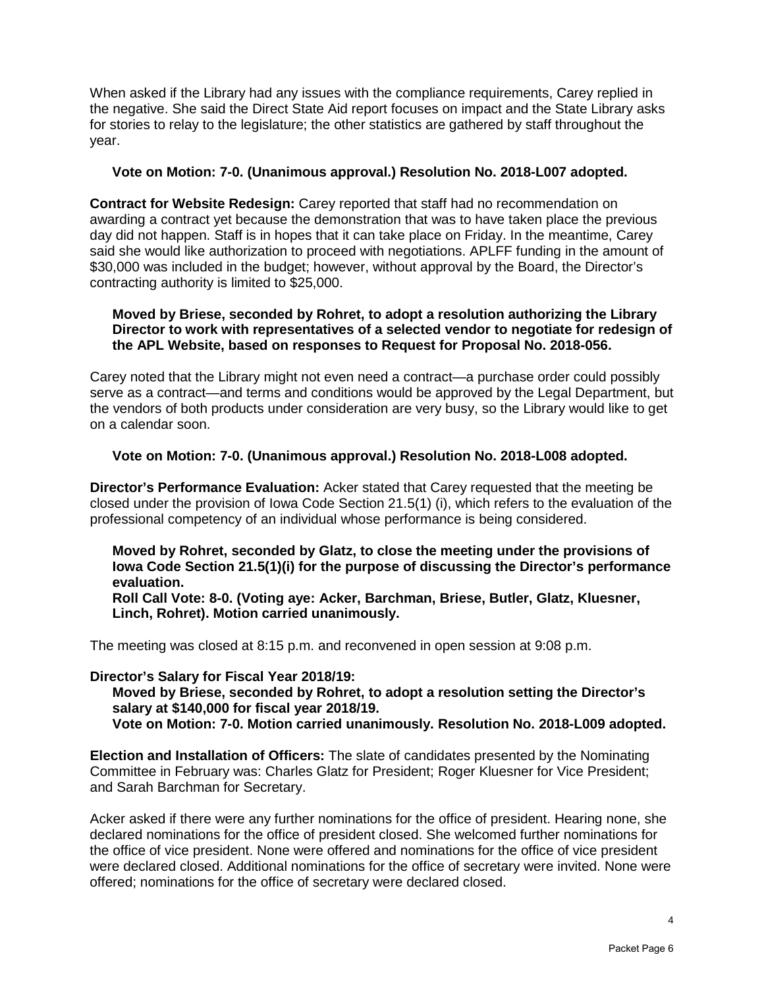When asked if the Library had any issues with the compliance requirements, Carey replied in the negative. She said the Direct State Aid report focuses on impact and the State Library asks for stories to relay to the legislature; the other statistics are gathered by staff throughout the year.

#### **Vote on Motion: 7-0. (Unanimous approval.) Resolution No. 2018-L007 adopted.**

**Contract for Website Redesign:** Carey reported that staff had no recommendation on awarding a contract yet because the demonstration that was to have taken place the previous day did not happen. Staff is in hopes that it can take place on Friday. In the meantime, Carey said she would like authorization to proceed with negotiations. APLFF funding in the amount of \$30,000 was included in the budget; however, without approval by the Board, the Director's contracting authority is limited to \$25,000.

#### **Moved by Briese, seconded by Rohret, to adopt a resolution authorizing the Library Director to work with representatives of a selected vendor to negotiate for redesign of the APL Website, based on responses to Request for Proposal No. 2018-056.**

Carey noted that the Library might not even need a contract—a purchase order could possibly serve as a contract—and terms and conditions would be approved by the Legal Department, but the vendors of both products under consideration are very busy, so the Library would like to get on a calendar soon.

#### **Vote on Motion: 7-0. (Unanimous approval.) Resolution No. 2018-L008 adopted.**

**Director's Performance Evaluation:** Acker stated that Carey requested that the meeting be closed under the provision of Iowa Code Section 21.5(1) (i), which refers to the evaluation of the professional competency of an individual whose performance is being considered.

**Moved by Rohret, seconded by Glatz, to close the meeting under the provisions of Iowa Code Section 21.5(1)(i) for the purpose of discussing the Director's performance evaluation.** 

**Roll Call Vote: 8-0. (Voting aye: Acker, Barchman, Briese, Butler, Glatz, Kluesner, Linch, Rohret). Motion carried unanimously.** 

The meeting was closed at 8:15 p.m. and reconvened in open session at 9:08 p.m.

#### **Director's Salary for Fiscal Year 2018/19:**

**Moved by Briese, seconded by Rohret, to adopt a resolution setting the Director's salary at \$140,000 for fiscal year 2018/19. Vote on Motion: 7-0. Motion carried unanimously. Resolution No. 2018-L009 adopted.** 

**Election and Installation of Officers:** The slate of candidates presented by the Nominating Committee in February was: Charles Glatz for President; Roger Kluesner for Vice President; and Sarah Barchman for Secretary.

Acker asked if there were any further nominations for the office of president. Hearing none, she declared nominations for the office of president closed. She welcomed further nominations for the office of vice president. None were offered and nominations for the office of vice president were declared closed. Additional nominations for the office of secretary were invited. None were offered; nominations for the office of secretary were declared closed.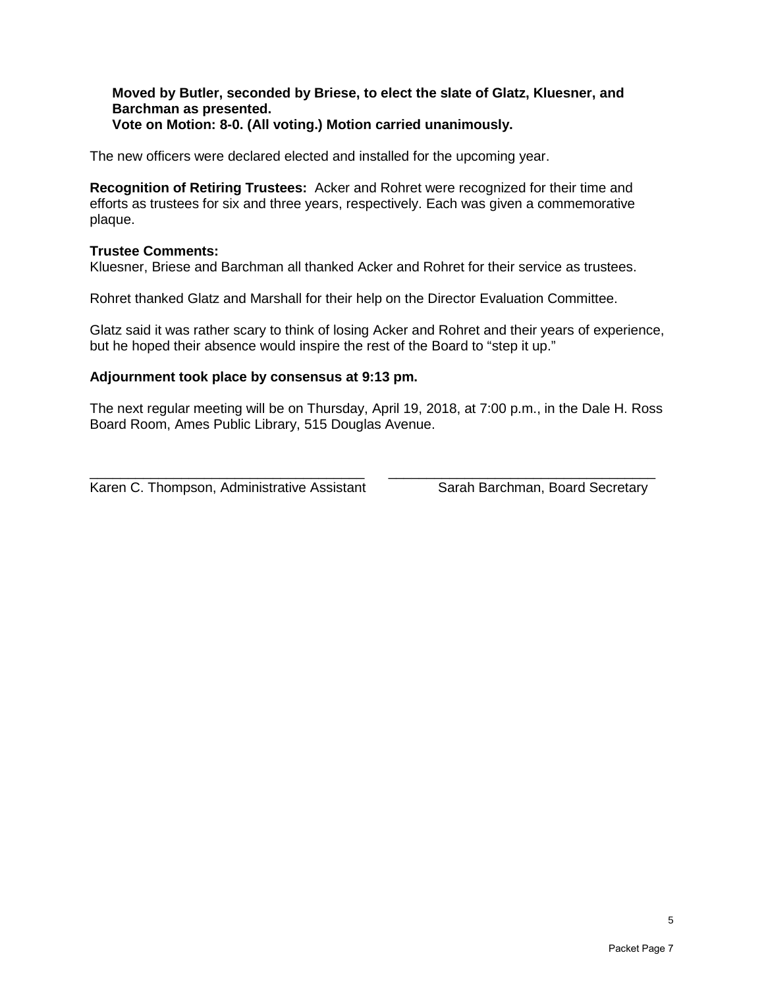#### **Moved by Butler, seconded by Briese, to elect the slate of Glatz, Kluesner, and Barchman as presented. Vote on Motion: 8-0. (All voting.) Motion carried unanimously.**

The new officers were declared elected and installed for the upcoming year.

**Recognition of Retiring Trustees:** Acker and Rohret were recognized for their time and efforts as trustees for six and three years, respectively. Each was given a commemorative plaque.

#### **Trustee Comments:**

Kluesner, Briese and Barchman all thanked Acker and Rohret for their service as trustees.

Rohret thanked Glatz and Marshall for their help on the Director Evaluation Committee.

Glatz said it was rather scary to think of losing Acker and Rohret and their years of experience, but he hoped their absence would inspire the rest of the Board to "step it up."

#### **Adjournment took place by consensus at 9:13 pm.**

The next regular meeting will be on Thursday, April 19, 2018, at 7:00 p.m., in the Dale H. Ross Board Room, Ames Public Library, 515 Douglas Avenue.

\_\_\_\_\_\_\_\_\_\_\_\_\_\_\_\_\_\_\_\_\_\_\_\_\_\_\_\_\_\_\_\_\_\_\_\_ \_\_\_\_\_\_\_\_\_\_\_\_\_\_\_\_\_\_\_\_\_\_\_\_\_\_\_\_\_\_\_\_\_\_\_ Karen C. Thompson, Administrative Assistant Sarah Barchman, Board Secretary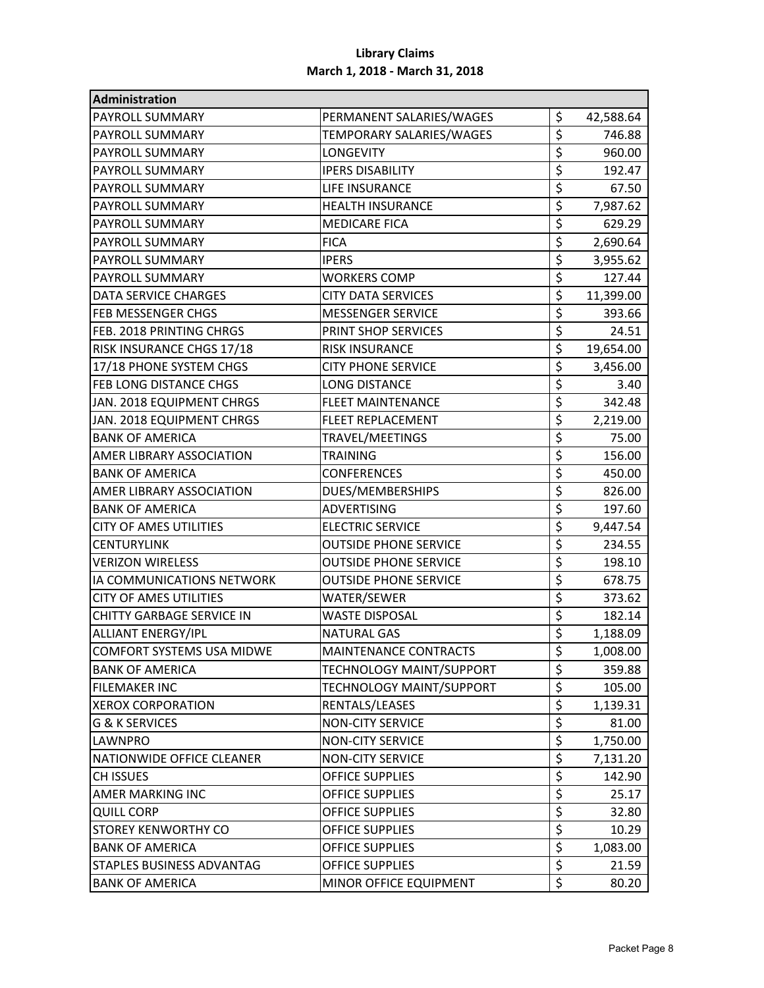| Administration                   |                              |                 |
|----------------------------------|------------------------------|-----------------|
| <b>PAYROLL SUMMARY</b>           | PERMANENT SALARIES/WAGES     | \$<br>42,588.64 |
| PAYROLL SUMMARY                  | TEMPORARY SALARIES/WAGES     | \$<br>746.88    |
| PAYROLL SUMMARY                  | <b>LONGEVITY</b>             | \$<br>960.00    |
| PAYROLL SUMMARY                  | <b>IPERS DISABILITY</b>      | \$<br>192.47    |
| PAYROLL SUMMARY                  | <b>LIFE INSURANCE</b>        | \$<br>67.50     |
| <b>PAYROLL SUMMARY</b>           | <b>HEALTH INSURANCE</b>      | \$<br>7,987.62  |
| <b>PAYROLL SUMMARY</b>           | <b>MEDICARE FICA</b>         | \$<br>629.29    |
| PAYROLL SUMMARY                  | <b>FICA</b>                  | \$<br>2,690.64  |
| <b>PAYROLL SUMMARY</b>           | <b>IPERS</b>                 | \$<br>3,955.62  |
| <b>PAYROLL SUMMARY</b>           | <b>WORKERS COMP</b>          | \$<br>127.44    |
| DATA SERVICE CHARGES             | <b>CITY DATA SERVICES</b>    | \$<br>11,399.00 |
| <b>FEB MESSENGER CHGS</b>        | <b>MESSENGER SERVICE</b>     | \$<br>393.66    |
| FEB. 2018 PRINTING CHRGS         | PRINT SHOP SERVICES          | \$<br>24.51     |
| RISK INSURANCE CHGS 17/18        | <b>RISK INSURANCE</b>        | \$<br>19,654.00 |
| 17/18 PHONE SYSTEM CHGS          | <b>CITY PHONE SERVICE</b>    | \$<br>3,456.00  |
| <b>FEB LONG DISTANCE CHGS</b>    | <b>LONG DISTANCE</b>         | \$<br>3.40      |
| JAN. 2018 EQUIPMENT CHRGS        | <b>FLEET MAINTENANCE</b>     | \$<br>342.48    |
| JAN. 2018 EQUIPMENT CHRGS        | <b>FLEET REPLACEMENT</b>     | \$<br>2,219.00  |
| <b>BANK OF AMERICA</b>           | TRAVEL/MEETINGS              | \$<br>75.00     |
| AMER LIBRARY ASSOCIATION         | <b>TRAINING</b>              | \$<br>156.00    |
| <b>BANK OF AMERICA</b>           | <b>CONFERENCES</b>           | \$<br>450.00    |
| AMER LIBRARY ASSOCIATION         | DUES/MEMBERSHIPS             | \$<br>826.00    |
| <b>BANK OF AMERICA</b>           | <b>ADVERTISING</b>           | \$<br>197.60    |
| <b>CITY OF AMES UTILITIES</b>    | <b>ELECTRIC SERVICE</b>      | \$<br>9,447.54  |
| <b>CENTURYLINK</b>               | <b>OUTSIDE PHONE SERVICE</b> | \$<br>234.55    |
| <b>VERIZON WIRELESS</b>          | <b>OUTSIDE PHONE SERVICE</b> | \$<br>198.10    |
| IA COMMUNICATIONS NETWORK        | <b>OUTSIDE PHONE SERVICE</b> | \$<br>678.75    |
| <b>CITY OF AMES UTILITIES</b>    | WATER/SEWER                  | \$<br>373.62    |
| <b>CHITTY GARBAGE SERVICE IN</b> | <b>WASTE DISPOSAL</b>        | \$<br>182.14    |
| <b>ALLIANT ENERGY/IPL</b>        | <b>NATURAL GAS</b>           | \$<br>1,188.09  |
| COMFORT SYSTEMS USA MIDWE        | MAINTENANCE CONTRACTS        | \$<br>1,008.00  |
| <b>BANK OF AMERICA</b>           | TECHNOLOGY MAINT/SUPPORT     | \$<br>359.88    |
| <b>FILEMAKER INC</b>             | TECHNOLOGY MAINT/SUPPORT     | \$<br>105.00    |
| <b>XEROX CORPORATION</b>         | RENTALS/LEASES               | \$<br>1,139.31  |
| G & K SERVICES                   | <b>NON-CITY SERVICE</b>      | \$<br>81.00     |
| <b>LAWNPRO</b>                   | <b>NON-CITY SERVICE</b>      | \$<br>1,750.00  |
| NATIONWIDE OFFICE CLEANER        | <b>NON-CITY SERVICE</b>      | \$<br>7,131.20  |
| CH ISSUES                        | <b>OFFICE SUPPLIES</b>       | \$<br>142.90    |
| AMER MARKING INC                 | <b>OFFICE SUPPLIES</b>       | \$<br>25.17     |
| <b>QUILL CORP</b>                | <b>OFFICE SUPPLIES</b>       | \$<br>32.80     |
| <b>STOREY KENWORTHY CO</b>       | <b>OFFICE SUPPLIES</b>       | \$<br>10.29     |
| <b>BANK OF AMERICA</b>           | OFFICE SUPPLIES              | \$<br>1,083.00  |
| <b>STAPLES BUSINESS ADVANTAG</b> | <b>OFFICE SUPPLIES</b>       | \$<br>21.59     |
| <b>BANK OF AMERICA</b>           | MINOR OFFICE EQUIPMENT       | \$<br>80.20     |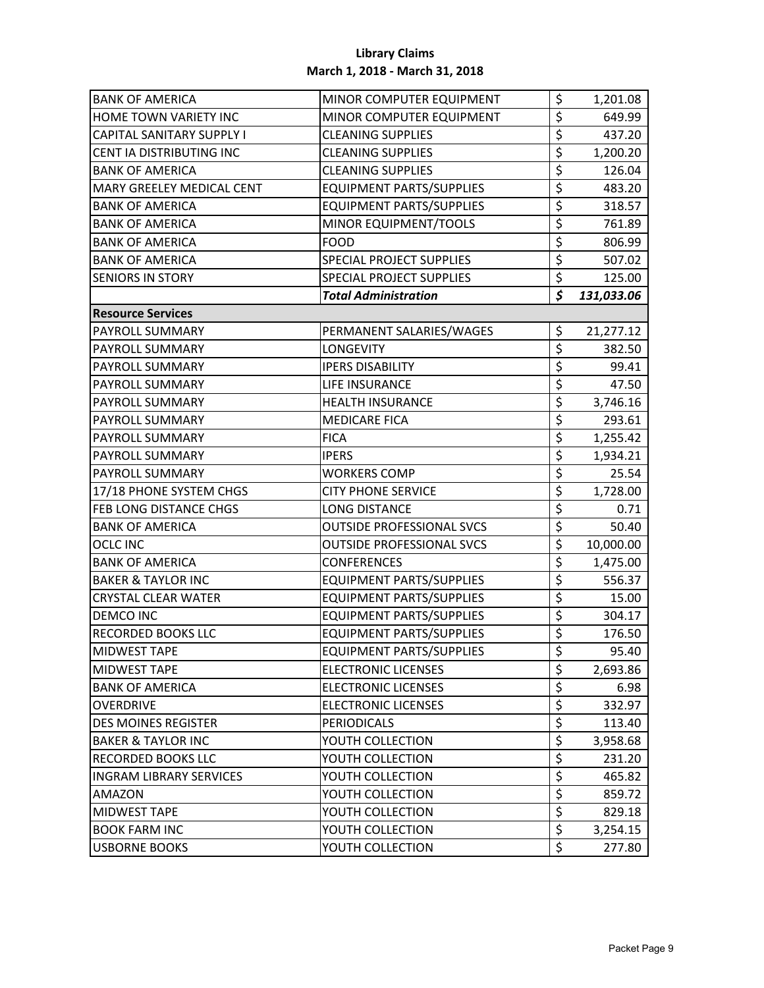| <b>BANK OF AMERICA</b>           | MINOR COMPUTER EQUIPMENT         | \$               | 1,201.08   |
|----------------------------------|----------------------------------|------------------|------------|
| HOME TOWN VARIETY INC            | MINOR COMPUTER EQUIPMENT         | \$               | 649.99     |
| <b>CAPITAL SANITARY SUPPLY I</b> | <b>CLEANING SUPPLIES</b>         | \$               | 437.20     |
| CENT IA DISTRIBUTING INC         | <b>CLEANING SUPPLIES</b>         | \$               | 1,200.20   |
| <b>BANK OF AMERICA</b>           | <b>CLEANING SUPPLIES</b>         | \$               | 126.04     |
| MARY GREELEY MEDICAL CENT        | <b>EQUIPMENT PARTS/SUPPLIES</b>  | \$               | 483.20     |
| <b>BANK OF AMERICA</b>           | <b>EQUIPMENT PARTS/SUPPLIES</b>  | \$               | 318.57     |
| <b>BANK OF AMERICA</b>           | MINOR EQUIPMENT/TOOLS            | \$               | 761.89     |
| <b>BANK OF AMERICA</b>           | <b>FOOD</b>                      | \$               | 806.99     |
| <b>BANK OF AMERICA</b>           | SPECIAL PROJECT SUPPLIES         | \$               | 507.02     |
| <b>SENIORS IN STORY</b>          | SPECIAL PROJECT SUPPLIES         | \$               | 125.00     |
|                                  | <b>Total Administration</b>      | \$               | 131,033.06 |
| <b>Resource Services</b>         |                                  |                  |            |
| PAYROLL SUMMARY                  | PERMANENT SALARIES/WAGES         | \$               | 21,277.12  |
| PAYROLL SUMMARY                  | <b>LONGEVITY</b>                 | $\overline{\xi}$ | 382.50     |
| <b>PAYROLL SUMMARY</b>           | <b>IPERS DISABILITY</b>          | \$               | 99.41      |
| PAYROLL SUMMARY                  | LIFE INSURANCE                   | \$               | 47.50      |
| <b>PAYROLL SUMMARY</b>           | <b>HEALTH INSURANCE</b>          | \$               | 3,746.16   |
| <b>PAYROLL SUMMARY</b>           | <b>MEDICARE FICA</b>             | \$               | 293.61     |
| <b>PAYROLL SUMMARY</b>           | <b>FICA</b>                      | \$               | 1,255.42   |
| PAYROLL SUMMARY                  | <b>IPERS</b>                     | \$               | 1,934.21   |
| <b>PAYROLL SUMMARY</b>           | <b>WORKERS COMP</b>              | \$               | 25.54      |
| 17/18 PHONE SYSTEM CHGS          | <b>CITY PHONE SERVICE</b>        | \$               | 1,728.00   |
| FEB LONG DISTANCE CHGS           | <b>LONG DISTANCE</b>             | \$               | 0.71       |
| <b>BANK OF AMERICA</b>           | <b>OUTSIDE PROFESSIONAL SVCS</b> | \$               | 50.40      |
| <b>OCLC INC</b>                  | <b>OUTSIDE PROFESSIONAL SVCS</b> | \$               | 10,000.00  |
| <b>BANK OF AMERICA</b>           | <b>CONFERENCES</b>               | \$               | 1,475.00   |
| <b>BAKER &amp; TAYLOR INC</b>    | <b>EQUIPMENT PARTS/SUPPLIES</b>  | \$               | 556.37     |
| <b>CRYSTAL CLEAR WATER</b>       | <b>EQUIPMENT PARTS/SUPPLIES</b>  | \$               | 15.00      |
| <b>DEMCO INC</b>                 | <b>EQUIPMENT PARTS/SUPPLIES</b>  | \$               | 304.17     |
| <b>RECORDED BOOKS LLC</b>        | <b>EQUIPMENT PARTS/SUPPLIES</b>  | \$               | 176.50     |
| <b>MIDWEST TAPE</b>              | <b>EQUIPMENT PARTS/SUPPLIES</b>  | Ş.               | 95.40      |
| <b>MIDWEST TAPE</b>              | <b>ELECTRONIC LICENSES</b>       | \$               | 2,693.86   |
| <b>BANK OF AMERICA</b>           | <b>ELECTRONIC LICENSES</b>       | \$               | 6.98       |
| <b>OVERDRIVE</b>                 | <b>ELECTRONIC LICENSES</b>       | \$               | 332.97     |
| <b>DES MOINES REGISTER</b>       | <b>PERIODICALS</b>               | \$               | 113.40     |
| <b>BAKER &amp; TAYLOR INC</b>    | YOUTH COLLECTION                 | \$               | 3,958.68   |
| <b>RECORDED BOOKS LLC</b>        | YOUTH COLLECTION                 | \$               | 231.20     |
| <b>INGRAM LIBRARY SERVICES</b>   | YOUTH COLLECTION                 | \$               | 465.82     |
| <b>AMAZON</b>                    | YOUTH COLLECTION                 | \$               | 859.72     |
| <b>MIDWEST TAPE</b>              | YOUTH COLLECTION                 | \$               | 829.18     |
| <b>BOOK FARM INC</b>             | YOUTH COLLECTION                 | \$               | 3,254.15   |
| <b>USBORNE BOOKS</b>             | YOUTH COLLECTION                 | \$               | 277.80     |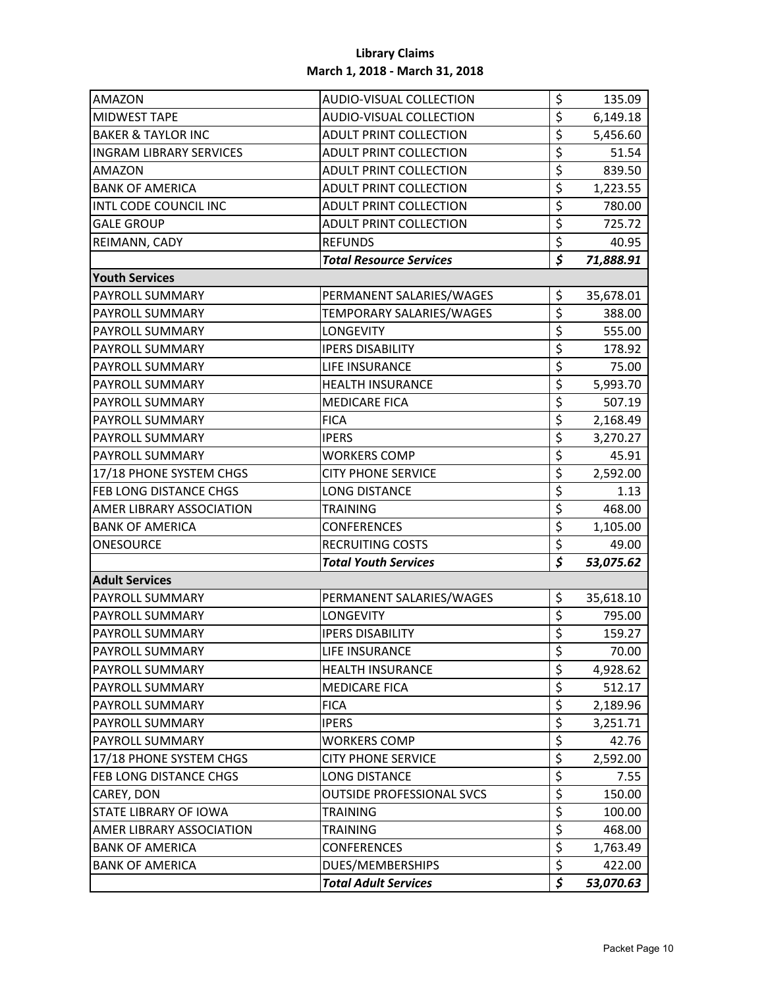| <b>AMAZON</b>                  | AUDIO-VISUAL COLLECTION          | \$                              | 135.09    |
|--------------------------------|----------------------------------|---------------------------------|-----------|
| <b>MIDWEST TAPE</b>            | AUDIO-VISUAL COLLECTION          | \$                              | 6,149.18  |
| <b>BAKER &amp; TAYLOR INC</b>  | <b>ADULT PRINT COLLECTION</b>    | \$                              | 5,456.60  |
| <b>INGRAM LIBRARY SERVICES</b> | <b>ADULT PRINT COLLECTION</b>    | \$                              | 51.54     |
| AMAZON                         | <b>ADULT PRINT COLLECTION</b>    | \$                              | 839.50    |
| <b>BANK OF AMERICA</b>         | <b>ADULT PRINT COLLECTION</b>    | \$                              | 1,223.55  |
| INTL CODE COUNCIL INC          | <b>ADULT PRINT COLLECTION</b>    | \$                              | 780.00    |
| <b>GALE GROUP</b>              | <b>ADULT PRINT COLLECTION</b>    | \$                              | 725.72    |
| REIMANN, CADY                  | <b>REFUNDS</b>                   | \$                              | 40.95     |
|                                | <b>Total Resource Services</b>   | $\overline{\boldsymbol{\zeta}}$ | 71,888.91 |
| <b>Youth Services</b>          |                                  |                                 |           |
| <b>PAYROLL SUMMARY</b>         | PERMANENT SALARIES/WAGES         | \$                              | 35,678.01 |
| PAYROLL SUMMARY                | TEMPORARY SALARIES/WAGES         | \$                              | 388.00    |
| PAYROLL SUMMARY                | <b>LONGEVITY</b>                 | \$                              | 555.00    |
| PAYROLL SUMMARY                | <b>IPERS DISABILITY</b>          | \$                              | 178.92    |
| <b>PAYROLL SUMMARY</b>         | <b>LIFE INSURANCE</b>            | \$                              | 75.00     |
| PAYROLL SUMMARY                | <b>HEALTH INSURANCE</b>          | \$                              | 5,993.70  |
| <b>PAYROLL SUMMARY</b>         | <b>MEDICARE FICA</b>             | \$                              | 507.19    |
| PAYROLL SUMMARY                | <b>FICA</b>                      | \$                              | 2,168.49  |
| PAYROLL SUMMARY                | <b>IPERS</b>                     | \$                              | 3,270.27  |
| PAYROLL SUMMARY                | <b>WORKERS COMP</b>              | \$                              | 45.91     |
| 17/18 PHONE SYSTEM CHGS        | <b>CITY PHONE SERVICE</b>        | \$                              | 2,592.00  |
| FEB LONG DISTANCE CHGS         | <b>LONG DISTANCE</b>             | \$                              | 1.13      |
| AMER LIBRARY ASSOCIATION       | TRAINING                         | \$                              | 468.00    |
| <b>BANK OF AMERICA</b>         | <b>CONFERENCES</b>               | \$                              | 1,105.00  |
| ONESOURCE                      | <b>RECRUITING COSTS</b>          | $\overline{\boldsymbol{\zeta}}$ | 49.00     |
|                                | <b>Total Youth Services</b>      | \$                              | 53,075.62 |
| <b>Adult Services</b>          |                                  |                                 |           |
| PAYROLL SUMMARY                | PERMANENT SALARIES/WAGES         | \$                              | 35,618.10 |
| <b>PAYROLL SUMMARY</b>         | <b>LONGEVITY</b>                 | \$                              | 795.00    |
| PAYROLL SUMMARY                | <b>IPERS DISABILITY</b>          | \$                              | 159.27    |
| <b>PAYROLL SUMMARY</b>         | LIFE INSURANCE                   | Ş.                              | 70.00     |
| PAYROLL SUMMARY                | <b>HEALTH INSURANCE</b>          | \$                              | 4,928.62  |
| <b>PAYROLL SUMMARY</b>         | <b>MEDICARE FICA</b>             | \$                              | 512.17    |
| <b>PAYROLL SUMMARY</b>         | <b>FICA</b>                      | \$                              | 2,189.96  |
| PAYROLL SUMMARY                | <b>IPERS</b>                     | \$                              | 3,251.71  |
| PAYROLL SUMMARY                | <b>WORKERS COMP</b>              | \$                              | 42.76     |
| 17/18 PHONE SYSTEM CHGS        | <b>CITY PHONE SERVICE</b>        | \$                              | 2,592.00  |
| <b>FEB LONG DISTANCE CHGS</b>  | LONG DISTANCE                    | \$                              | 7.55      |
| CAREY, DON                     | <b>OUTSIDE PROFESSIONAL SVCS</b> | \$                              | 150.00    |
| <b>STATE LIBRARY OF IOWA</b>   | TRAINING                         | \$                              | 100.00    |
| AMER LIBRARY ASSOCIATION       | TRAINING                         | \$                              | 468.00    |
| <b>BANK OF AMERICA</b>         | <b>CONFERENCES</b>               | \$                              | 1,763.49  |
| <b>BANK OF AMERICA</b>         | DUES/MEMBERSHIPS                 | \$                              | 422.00    |
|                                | <b>Total Adult Services</b>      | \$                              | 53,070.63 |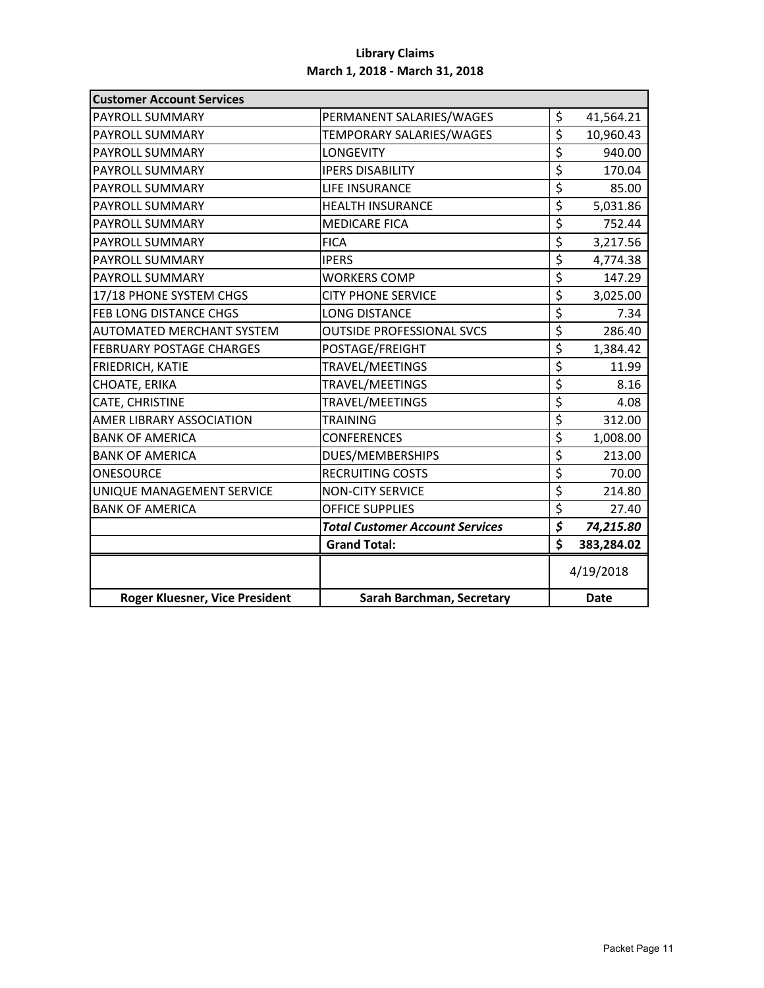| <b>Customer Account Services</b> |                                        |                                 |            |
|----------------------------------|----------------------------------------|---------------------------------|------------|
| PAYROLL SUMMARY                  | PERMANENT SALARIES/WAGES               | \$                              | 41,564.21  |
| PAYROLL SUMMARY                  | TEMPORARY SALARIES/WAGES               | \$                              | 10,960.43  |
| PAYROLL SUMMARY                  | <b>LONGEVITY</b>                       | \$                              | 940.00     |
| <b>PAYROLL SUMMARY</b>           | <b>IPERS DISABILITY</b>                | \$                              | 170.04     |
| PAYROLL SUMMARY                  | LIFE INSURANCE                         | \$                              | 85.00      |
| PAYROLL SUMMARY                  | <b>HEALTH INSURANCE</b>                | \$                              | 5,031.86   |
| PAYROLL SUMMARY                  | <b>MEDICARE FICA</b>                   | \$                              | 752.44     |
| PAYROLL SUMMARY                  | <b>FICA</b>                            | \$                              | 3,217.56   |
| PAYROLL SUMMARY                  | <b>IPERS</b>                           | \$                              | 4,774.38   |
| PAYROLL SUMMARY                  | <b>WORKERS COMP</b>                    | \$                              | 147.29     |
| 17/18 PHONE SYSTEM CHGS          | <b>CITY PHONE SERVICE</b>              | \$                              | 3,025.00   |
| <b>FEB LONG DISTANCE CHGS</b>    | <b>LONG DISTANCE</b>                   | \$                              | 7.34       |
| <b>AUTOMATED MERCHANT SYSTEM</b> | <b>OUTSIDE PROFESSIONAL SVCS</b>       | $\overline{\xi}$                | 286.40     |
| <b>FEBRUARY POSTAGE CHARGES</b>  | POSTAGE/FREIGHT                        | \$                              | 1,384.42   |
| FRIEDRICH, KATIE                 | TRAVEL/MEETINGS                        | \$                              | 11.99      |
| CHOATE, ERIKA                    | TRAVEL/MEETINGS                        | \$                              | 8.16       |
| CATE, CHRISTINE                  | <b>TRAVEL/MEETINGS</b>                 | $\overline{\xi}$                | 4.08       |
| AMER LIBRARY ASSOCIATION         | <b>TRAINING</b>                        | \$                              | 312.00     |
| <b>BANK OF AMERICA</b>           | <b>CONFERENCES</b>                     | \$                              | 1,008.00   |
| <b>BANK OF AMERICA</b>           | DUES/MEMBERSHIPS                       | \$                              | 213.00     |
| ONESOURCE                        | <b>RECRUITING COSTS</b>                | \$                              | 70.00      |
| UNIQUE MANAGEMENT SERVICE        | <b>NON-CITY SERVICE</b>                | \$                              | 214.80     |
| <b>BANK OF AMERICA</b>           | <b>OFFICE SUPPLIES</b>                 | \$                              | 27.40      |
|                                  | <b>Total Customer Account Services</b> | $\overline{\boldsymbol{\zeta}}$ | 74,215.80  |
|                                  | <b>Grand Total:</b>                    | \$                              | 383,284.02 |
|                                  |                                        |                                 | 4/19/2018  |
| Roger Kluesner, Vice President   |                                        | <b>Date</b>                     |            |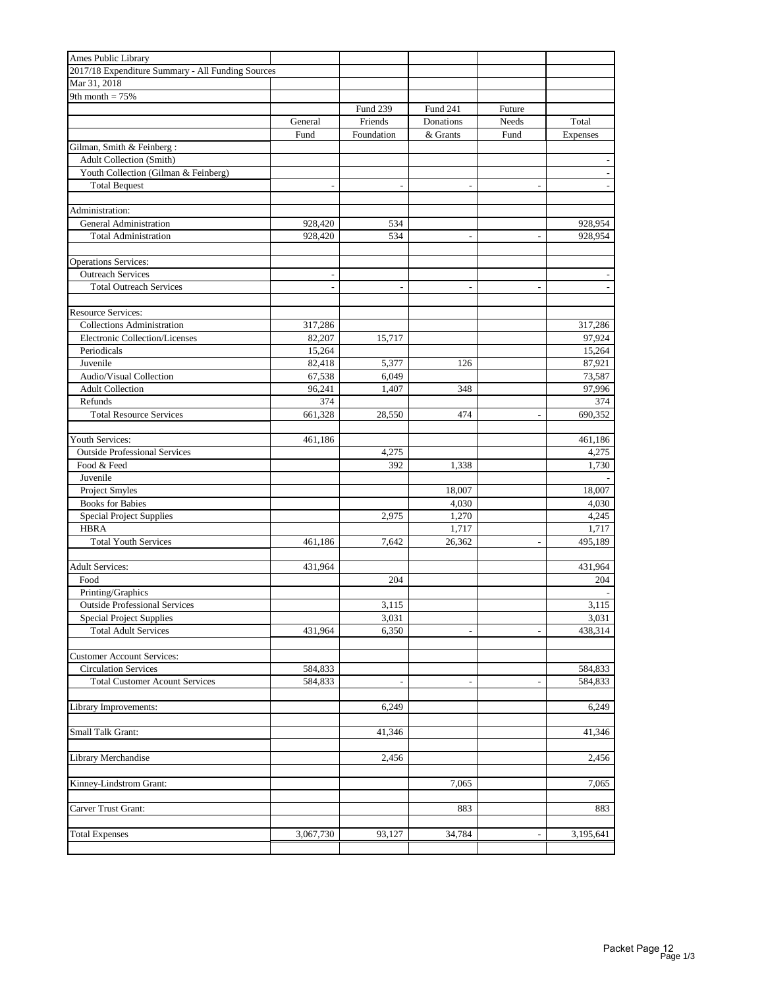| Ames Public Library                               |                |                 |                          |                          |                          |
|---------------------------------------------------|----------------|-----------------|--------------------------|--------------------------|--------------------------|
| 2017/18 Expenditure Summary - All Funding Sources |                |                 |                          |                          |                          |
| Mar 31, 2018                                      |                |                 |                          |                          |                          |
| 9th month $= 75%$                                 |                |                 |                          |                          |                          |
|                                                   |                | <b>Fund 239</b> | Fund 241                 | Future                   |                          |
|                                                   | General        | Friends         | Donations                | Needs                    | Total                    |
|                                                   | Fund           | Foundation      | & Grants                 | Fund                     | <b>Expenses</b>          |
| Gilman, Smith & Feinberg:                         |                |                 |                          |                          |                          |
| Adult Collection (Smith)                          |                |                 |                          |                          |                          |
| Youth Collection (Gilman & Feinberg)              |                |                 |                          |                          |                          |
| <b>Total Bequest</b>                              | $\overline{a}$ | $\overline{a}$  | $\overline{\phantom{a}}$ | $\overline{a}$           | $\overline{\phantom{a}}$ |
|                                                   |                |                 |                          |                          |                          |
| Administration:                                   |                |                 |                          |                          |                          |
| General Administration                            | 928,420        | 534             |                          |                          | 928,954                  |
| <b>Total Administration</b>                       | 928,420        | 534             | $\overline{a}$           | $\overline{\phantom{a}}$ | 928,954                  |
|                                                   |                |                 |                          |                          |                          |
| <b>Operations Services:</b>                       |                |                 |                          |                          |                          |
| <b>Outreach Services</b>                          | $\overline{a}$ |                 |                          |                          |                          |
| <b>Total Outreach Services</b>                    |                |                 |                          |                          |                          |
|                                                   |                |                 |                          |                          |                          |
| <b>Resource Services:</b>                         |                |                 |                          |                          |                          |
| <b>Collections Administration</b>                 | 317,286        |                 |                          |                          | 317,286                  |
| Electronic Collection/Licenses                    | 82,207         | 15,717          |                          |                          | 97,924                   |
| Periodicals                                       | 15,264         |                 |                          |                          | 15,264                   |
| Juvenile                                          | 82,418         | 5,377           | 126                      |                          | 87,921                   |
| Audio/Visual Collection                           | 67,538         | 6,049           |                          |                          | 73,587                   |
| <b>Adult Collection</b>                           | 96,241         | 1,407           | 348                      |                          | 97,996                   |
| Refunds                                           | 374            |                 |                          |                          | 374                      |
| <b>Total Resource Services</b>                    | 661,328        | 28,550          | 474                      |                          | 690,352                  |
|                                                   |                |                 |                          |                          |                          |
| Youth Services:                                   | 461,186        |                 |                          |                          | 461,186                  |
| <b>Outside Professional Services</b>              |                | 4,275           |                          |                          | 4,275                    |
| Food & Feed                                       |                | 392             | 1,338                    |                          | 1,730                    |
| Juvenile                                          |                |                 |                          |                          |                          |
| Project Smyles                                    |                |                 | 18,007                   |                          | 18,007                   |
| <b>Books for Babies</b>                           |                |                 | 4,030                    |                          | 4,030                    |
| <b>Special Project Supplies</b>                   |                | 2,975           | 1,270                    |                          | 4,245                    |
| <b>HBRA</b>                                       |                |                 | 1,717                    |                          | 1,717                    |
| <b>Total Youth Services</b>                       | 461,186        | 7,642           | 26,362                   |                          | 495,189                  |
|                                                   |                |                 |                          |                          |                          |
| <b>Adult Services:</b>                            | 431,964        |                 |                          |                          | 431,964                  |
| Food                                              |                | 204             |                          |                          | 204                      |
| Printing/Graphics                                 |                |                 |                          |                          |                          |
| <b>Outside Professional Services</b>              |                | 3,115           |                          |                          | 3,115                    |
| <b>Special Project Supplies</b>                   |                | 3,031           |                          |                          | 3,031                    |
| <b>Total Adult Services</b>                       | 431,964        | 6,350           | $\overline{a}$           | $\overline{a}$           | 438,314                  |
|                                                   |                |                 |                          |                          |                          |
| <b>Customer Account Services:</b>                 |                |                 |                          |                          |                          |
| <b>Circulation Services</b>                       | 584,833        |                 |                          |                          | 584,833                  |
| <b>Total Customer Acount Services</b>             | 584,833        |                 |                          |                          | 584,833                  |
|                                                   |                |                 |                          |                          |                          |
| Library Improvements:                             |                | 6,249           |                          |                          | 6,249                    |
|                                                   |                |                 |                          |                          |                          |
| Small Talk Grant:                                 |                | 41,346          |                          |                          | 41,346                   |
|                                                   |                |                 |                          |                          |                          |
| Library Merchandise                               |                | 2,456           |                          |                          | 2,456                    |
|                                                   |                |                 |                          |                          |                          |
| Kinney-Lindstrom Grant:                           |                |                 | 7,065                    |                          | 7,065                    |
|                                                   |                |                 |                          |                          |                          |
| Carver Trust Grant:                               |                |                 | 883                      |                          | 883                      |
|                                                   |                |                 |                          |                          |                          |
| <b>Total Expenses</b>                             | 3,067,730      | 93,127          | 34,784                   | $\overline{\phantom{a}}$ | 3,195,641                |
|                                                   |                |                 |                          |                          |                          |
|                                                   |                |                 |                          |                          |                          |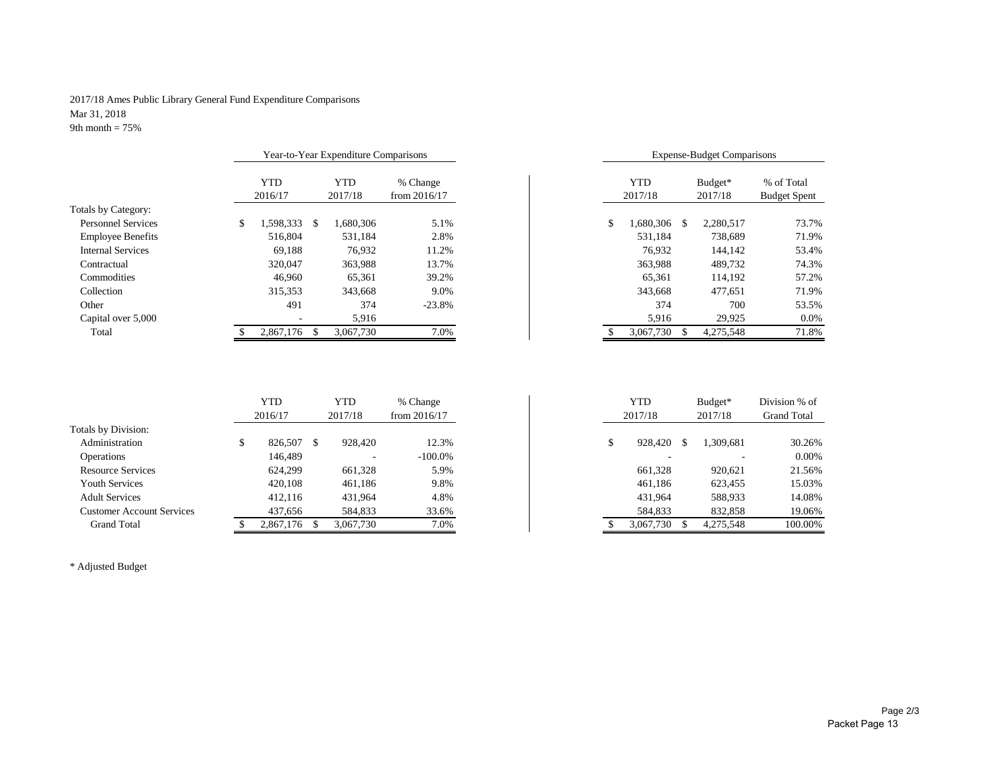#### 2017/18 Ames Public Library General Fund Expenditure Comparisons Mar 31, 2018 9th month  $= 75\%$

|                           | Year-to-Year Expenditure Comparisons |                  |                |     |           | <b>Expense-Budget Comparisons</b> |                     |
|---------------------------|--------------------------------------|------------------|----------------|-----|-----------|-----------------------------------|---------------------|
|                           | <b>YTD</b>                           | <b>YTD</b>       | % Change       |     | YTD       | Budget*                           | % of Total          |
|                           | 2016/17                              | 2017/18          | from $2016/17$ |     | 2017/18   | 2017/18                           | <b>Budget Spent</b> |
| Totals by Category:       |                                      |                  |                |     |           |                                   |                     |
| <b>Personnel Services</b> | .598,333<br>\$                       | .680,306<br>- \$ | 5.1%           | \$. | 1,680,306 | 2.280.517<br>\$.                  | 73.7%               |
| <b>Employee Benefits</b>  | 516,804                              | 531,184          | 2.8%           |     | 531,184   | 738.689                           | 71.9%               |
| <b>Internal Services</b>  | 69.188                               | 76,932           | 11.2%          |     | 76.932    | 144,142                           | 53.4%               |
| Contractual               | 320,047                              | 363,988          | 13.7%          |     | 363,988   | 489,732                           | 74.3%               |
| Commodities               | 46,960                               | 65,361           | 39.2%          |     | 65,361    | 114.192                           | 57.2%               |
| Collection                | 315,353                              | 343,668          | 9.0%           |     | 343,668   | 477,651                           | 71.9%               |
| Other                     | 491                                  | 374              | $-23.8%$       |     | 374       | 700                               | 53.5%               |
| Capital over 5,000        |                                      | 5,916            |                |     | 5,916     | 29,925                            | 0.0%                |
| Total                     | 2,867,176                            | 3.067.730        | 7.0%           |     | 3.067.730 | 4.275.548                         | 71.8%               |

|                                                                       |     | Year-to-Year Expenditure Comparisons |          |                       |           |                    | <b>Expense-Budget Comparisons</b> |       |
|-----------------------------------------------------------------------|-----|--------------------------------------|----------|-----------------------|-----------|--------------------|-----------------------------------|-------|
| <b>YTD</b><br>YTD<br>% Change<br>2017/18<br>from $2016/17$<br>2016/17 |     |                                      |          | <b>YTD</b><br>2017/18 |           | Budget*<br>2017/18 | % of Total<br><b>Budget Spent</b> |       |
| 1,598,333                                                             | -\$ | 1,680,306                            | 5.1%     | \$                    | 1,680,306 | \$.                | 2,280,517                         | 73.7% |
| 516,804                                                               |     | 531.184                              | 2.8%     |                       | 531,184   |                    | 738,689                           | 71.9% |
| 69,188                                                                |     | 76.932                               | 11.2%    |                       | 76.932    |                    | 144.142                           | 53.4% |
| 320,047                                                               |     | 363,988                              | 13.7%    |                       | 363,988   |                    | 489,732                           | 74.3% |
| 46,960                                                                |     | 65,361                               | 39.2%    |                       | 65,361    |                    | 114,192                           | 57.2% |
| 315,353                                                               |     | 343,668                              | 9.0%     |                       | 343,668   |                    | 477,651                           | 71.9% |
| 491                                                                   |     | 374                                  | $-23.8%$ |                       | 374       |                    | 700                               | 53.5% |
|                                                                       |     | 5,916                                |          |                       | 5,916     |                    | 29,925                            | 0.0%  |
| 2.867.176                                                             |     | 3,067,730                            | 7.0%     |                       | 3,067,730 |                    | 4,275,548                         | 71.8% |

|                                  | <b>YTD</b><br>2016/17 | <b>YTD</b><br>2017/18 | % Change<br>from $2016/17$ |    | YTD<br>2017/18 | Budget*<br>2017/18 | Division % of<br><b>Grand Total</b> |
|----------------------------------|-----------------------|-----------------------|----------------------------|----|----------------|--------------------|-------------------------------------|
| Totals by Division:              |                       |                       |                            |    |                |                    |                                     |
| Administration                   | 826,507               | 928.420               | 12.3%                      | мD | 928,420        | 1,309,681          | 30.26%                              |
| Operations                       | 146,489               |                       | $-100.0\%$                 |    |                |                    | $0.00\%$                            |
| <b>Resource Services</b>         | 624.299               | 661,328               | 5.9%                       |    | 661,328        | 920.621            | 21.56%                              |
| <b>Youth Services</b>            | 420,108               | 461,186               | 9.8%                       |    | 461,186        | 623,455            | 15.03%                              |
| <b>Adult Services</b>            | 412,116               | 431.964               | 4.8%                       |    | 431,964        | 588,933            | 14.08%                              |
| <b>Customer Account Services</b> | 437,656               | 584,833               | 33.6%                      |    | 584,833        | 832,858            | 19.06%                              |
| <b>Grand Total</b>               | 2,867,176             | 3,067,730             | 7.0%                       |    | 3,067,730      | 4,275,548          | 100.00%                             |

\* Adjusted Budget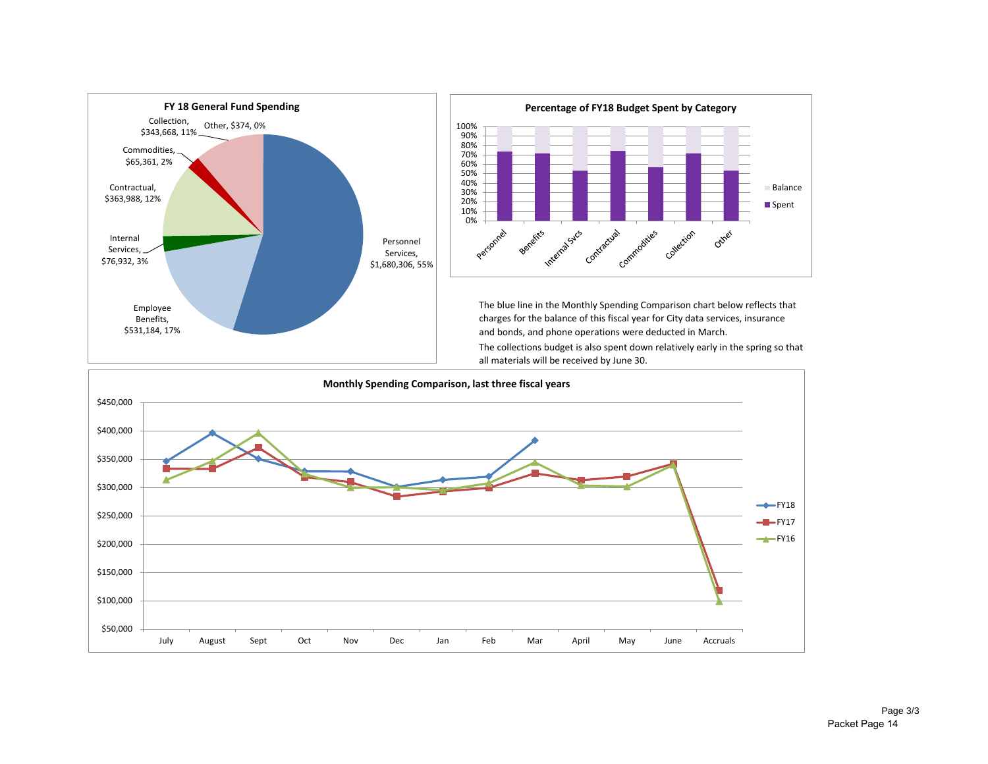



The blue line in the Monthly Spending Comparison chart below reflects that charges for the balance of this fiscal year for City data services, insurance and bonds, and phone operations were deducted in March. The collections budget is also spent down relatively early in the spring so that all materials will be received by June 30.

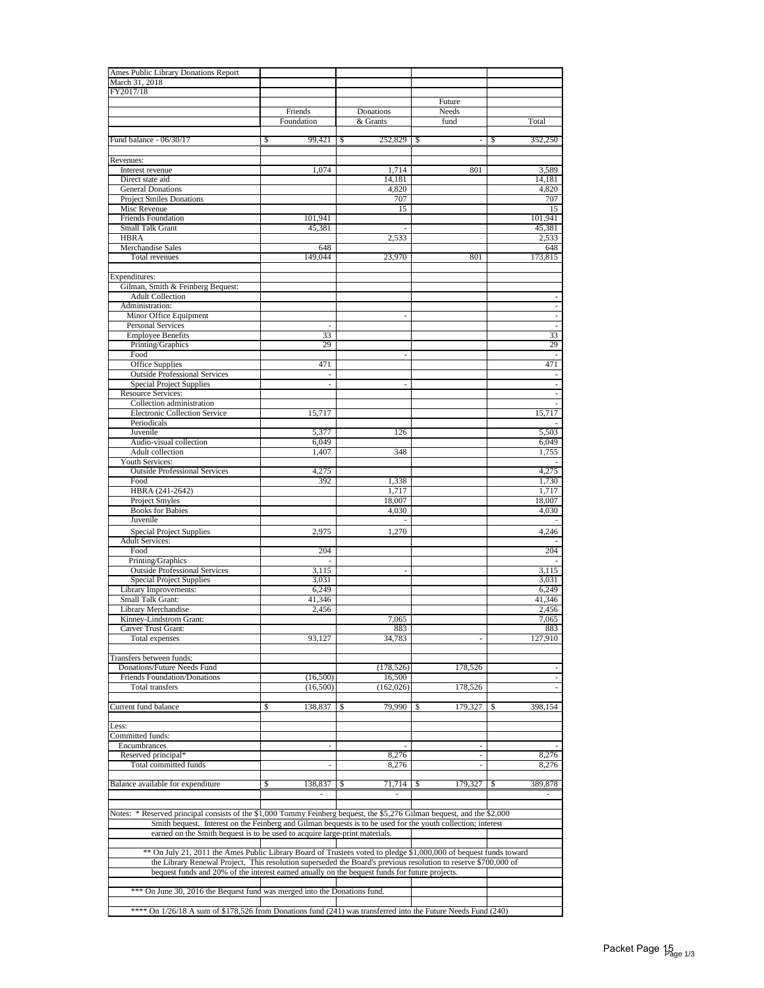| Ames Public Library Donations Report                                                                                                                                                                                                                                                                                   |                |                          |                          |                                |
|------------------------------------------------------------------------------------------------------------------------------------------------------------------------------------------------------------------------------------------------------------------------------------------------------------------------|----------------|--------------------------|--------------------------|--------------------------------|
| March 31, 2018                                                                                                                                                                                                                                                                                                         |                |                          |                          |                                |
| FY2017/18                                                                                                                                                                                                                                                                                                              |                |                          | Future                   |                                |
|                                                                                                                                                                                                                                                                                                                        | Friends        | Donations                | Needs                    |                                |
|                                                                                                                                                                                                                                                                                                                        | Foundation     | & Grants                 | fund                     | Total                          |
|                                                                                                                                                                                                                                                                                                                        | 99.421         |                          |                          |                                |
| Fund balance - 06/30/17                                                                                                                                                                                                                                                                                                | \$             | 252,829<br>S             | \$                       | 352,250<br>\$                  |
| Revenues:                                                                                                                                                                                                                                                                                                              |                |                          |                          |                                |
| Interest revenue                                                                                                                                                                                                                                                                                                       | 1,074          | 1,714                    | 801                      | 3,589                          |
| Direct state aid                                                                                                                                                                                                                                                                                                       |                | 14,181                   |                          | 14,181                         |
| <b>General Donations</b>                                                                                                                                                                                                                                                                                               |                | 4,820                    |                          | 4,820                          |
| <b>Project Smiles Donations</b><br><b>Misc Revenue</b>                                                                                                                                                                                                                                                                 |                | 707<br>15                |                          | 707<br>15                      |
| <b>Friends Foundation</b>                                                                                                                                                                                                                                                                                              | 101,941        |                          |                          | 101,941                        |
| Small Talk Grant                                                                                                                                                                                                                                                                                                       | 45,381         |                          |                          | 45,381                         |
| <b>HBRA</b>                                                                                                                                                                                                                                                                                                            |                | 2,533                    |                          | 2,533                          |
| Merchandise Sales                                                                                                                                                                                                                                                                                                      | 648            |                          |                          | 648                            |
| Total revenues                                                                                                                                                                                                                                                                                                         | 149,044        | 23,970                   | 801                      | 173,815                        |
| Expenditures:                                                                                                                                                                                                                                                                                                          |                |                          |                          |                                |
| Gilman, Smith & Feinberg Bequest:                                                                                                                                                                                                                                                                                      |                |                          |                          |                                |
| <b>Adult Collection</b>                                                                                                                                                                                                                                                                                                |                |                          |                          |                                |
| Administration:                                                                                                                                                                                                                                                                                                        |                |                          |                          | ÷                              |
| Minor Office Equipment                                                                                                                                                                                                                                                                                                 |                | ä,                       |                          |                                |
| Personal Services<br><b>Employee Benefits</b>                                                                                                                                                                                                                                                                          | ÷,<br>33       |                          |                          | $\overline{\phantom{a}}$<br>33 |
| Printing/Graphics                                                                                                                                                                                                                                                                                                      | 29             |                          |                          | 29                             |
| Food                                                                                                                                                                                                                                                                                                                   |                | ä,                       |                          | $\overline{\phantom{a}}$       |
| Office Supplies                                                                                                                                                                                                                                                                                                        | 471            |                          |                          | 471                            |
| <b>Outside Professional Services</b>                                                                                                                                                                                                                                                                                   | ä,             |                          |                          |                                |
| <b>Special Project Supplies</b><br><b>Resource Services:</b>                                                                                                                                                                                                                                                           | ÷              | $\overline{\phantom{a}}$ |                          |                                |
| Collection administration                                                                                                                                                                                                                                                                                              |                |                          |                          |                                |
| <b>Electronic Collection Service</b>                                                                                                                                                                                                                                                                                   | 15,717         |                          |                          | 15,717                         |
| Periodicals                                                                                                                                                                                                                                                                                                            |                |                          |                          |                                |
| Juvenile                                                                                                                                                                                                                                                                                                               | 5,377          | 126                      |                          | 5,503                          |
| Audio-visual collection                                                                                                                                                                                                                                                                                                | 6,049          |                          |                          | 6,049                          |
| Adult collection<br>Youth Services:                                                                                                                                                                                                                                                                                    | 1,407          | 348                      |                          | 1,755                          |
| <b>Outside Professional Services</b>                                                                                                                                                                                                                                                                                   | 4,275          |                          |                          | 4,275                          |
| Food                                                                                                                                                                                                                                                                                                                   | 392            | 1,338                    |                          | 1,730                          |
| HBRA (241-2642)                                                                                                                                                                                                                                                                                                        |                | 1,717                    |                          | 1,717                          |
| Project Smyles                                                                                                                                                                                                                                                                                                         |                | 18,007                   |                          | 18,007                         |
| <b>Books for Babies</b><br>Juvenile                                                                                                                                                                                                                                                                                    |                | 4,030                    |                          | 4,030                          |
|                                                                                                                                                                                                                                                                                                                        |                |                          |                          |                                |
| Special Project Supplies<br><b>Adult Services:</b>                                                                                                                                                                                                                                                                     | 2,975          | 1,270                    |                          | 4,246                          |
| Food                                                                                                                                                                                                                                                                                                                   | 204            |                          |                          | 204                            |
| Printing/Graphics                                                                                                                                                                                                                                                                                                      |                |                          |                          |                                |
| <b>Outside Professional Services</b>                                                                                                                                                                                                                                                                                   | 3,115          | ä,                       |                          | 3,115                          |
| Special Project Supplies<br>Library Improvements:                                                                                                                                                                                                                                                                      | 3.031<br>6,249 |                          |                          | 3,031<br>6,249                 |
| Small Talk Grant:                                                                                                                                                                                                                                                                                                      | 41.346         |                          |                          | 41,346                         |
| Library Merchandise                                                                                                                                                                                                                                                                                                    | 2,456          |                          |                          | 2,456                          |
| Kinney-Lindstrom Grant:                                                                                                                                                                                                                                                                                                |                | 7,065                    |                          | 7,065                          |
| Carver Trust Grant:                                                                                                                                                                                                                                                                                                    |                | 883                      |                          | 883                            |
| Total expenses                                                                                                                                                                                                                                                                                                         | 93,127         | 34,783                   |                          | 127,910                        |
| Transfers between funds:                                                                                                                                                                                                                                                                                               |                |                          |                          |                                |
| Donations/Future Needs Fund                                                                                                                                                                                                                                                                                            |                | (178, 526)               | 178,526                  |                                |
| Friends Foundation/Donations                                                                                                                                                                                                                                                                                           | (16,500)       | 16,500                   |                          |                                |
| Total transfers                                                                                                                                                                                                                                                                                                        | (16,500)       | (162, 026)               | 178,526                  |                                |
|                                                                                                                                                                                                                                                                                                                        |                |                          |                          |                                |
| Current fund balance                                                                                                                                                                                                                                                                                                   | 138,837<br>\$  | 79,990<br>S              | 179,327<br>\$            | 398,154<br>S                   |
| Less:                                                                                                                                                                                                                                                                                                                  |                |                          |                          |                                |
| Committed funds:                                                                                                                                                                                                                                                                                                       |                |                          |                          |                                |
| Encumbrances                                                                                                                                                                                                                                                                                                           | ×,             |                          |                          |                                |
| Reserved principal*                                                                                                                                                                                                                                                                                                    |                | 8,276                    | $\overline{\phantom{a}}$ | 8,276                          |
| Total committed funds                                                                                                                                                                                                                                                                                                  | ÷,             | 8,276                    | L.                       | 8,276                          |
| Balance available for expenditure                                                                                                                                                                                                                                                                                      | \$<br>138,837  | 71,714<br>S              | 179.327<br>-S            | 389,878<br>S                   |
|                                                                                                                                                                                                                                                                                                                        |                |                          |                          |                                |
| Notes: * Reserved principal consists of the \$1,000 Tommy Feinberg bequest, the \$5,276 Gilman bequest, and the \$2,000<br>Smith bequest. Interest on the Feinberg and Gilman bequests is to be used for the youth collection; interest<br>earned on the Smith bequest is to be used to acquire large-print materials. |                |                          |                          |                                |
|                                                                                                                                                                                                                                                                                                                        |                |                          |                          |                                |
| ** On July 21, 2011 the Ames Public Library Board of Trustees voted to pledge \$1,000,000 of bequest funds toward<br>the Library Renewal Project, This resolution superseded the Board's previous resolution to reserve \$700,000 of                                                                                   |                |                          |                          |                                |
| bequest funds and 20% of the interest earned anually on the bequest funds for future projects.                                                                                                                                                                                                                         |                |                          |                          |                                |
|                                                                                                                                                                                                                                                                                                                        |                |                          |                          |                                |
| *** On June 30, 2016 the Bequest fund was merged into the Donations fund.                                                                                                                                                                                                                                              |                |                          |                          |                                |
| **** On 1/26/18 A sum of \$178,526 from Donations fund (241) was transferred into the Future Needs Fund (240)                                                                                                                                                                                                          |                |                          |                          |                                |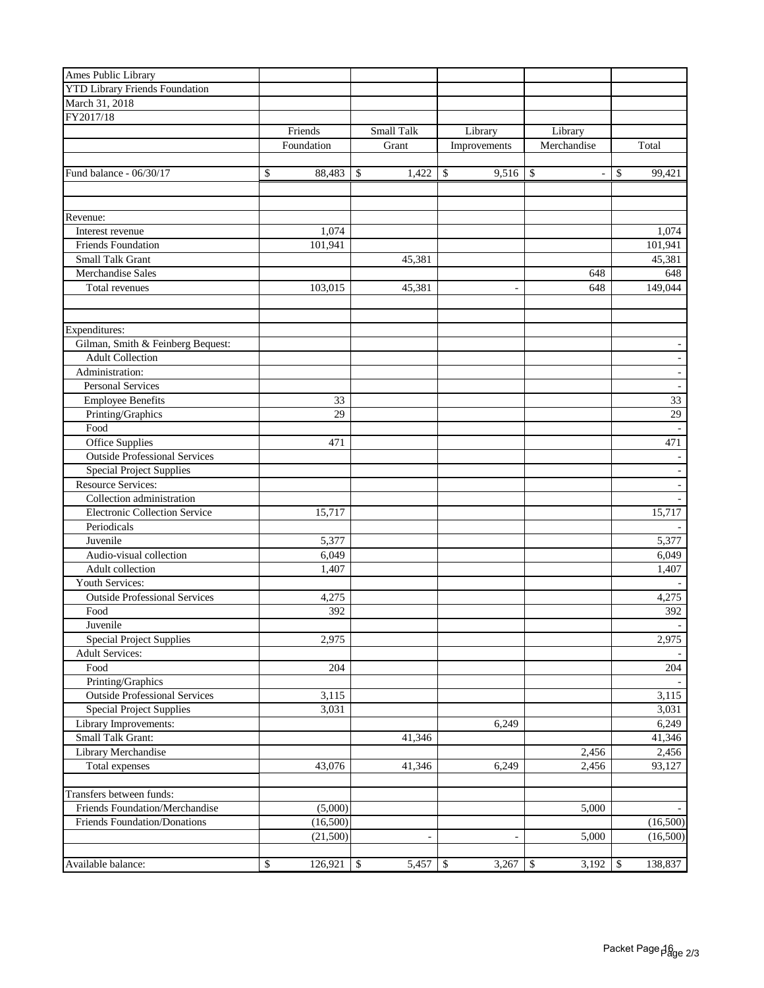| Ames Public Library                         |               |                           |            |                          |                                |               |
|---------------------------------------------|---------------|---------------------------|------------|--------------------------|--------------------------------|---------------|
| <b>YTD Library Friends Foundation</b>       |               |                           |            |                          |                                |               |
| March 31, 2018                              |               |                           |            |                          |                                |               |
| FY2017/18                                   |               |                           |            |                          |                                |               |
|                                             | Friends       |                           | Small Talk | Library                  | Library                        |               |
|                                             | Foundation    |                           | Grant      | Improvements             | Merchandise                    | Total         |
|                                             |               |                           |            |                          |                                |               |
| Fund balance - 06/30/17                     | \$<br>88,483  | \$                        | 1,422      | \$<br>9,516              | \$<br>$\overline{\phantom{a}}$ | \$<br>99,421  |
|                                             |               |                           |            |                          |                                |               |
|                                             |               |                           |            |                          |                                |               |
| Revenue:                                    |               |                           |            |                          |                                |               |
| Interest revenue                            | 1,074         |                           |            |                          |                                | 1,074         |
| Friends Foundation                          | 101,941       |                           |            |                          |                                | 101,941       |
| Small Talk Grant                            |               |                           | 45,381     |                          |                                | 45,381        |
| Merchandise Sales                           |               |                           |            |                          | 648                            | 648           |
| Total revenues                              | 103,015       |                           | 45,381     | $\overline{\phantom{a}}$ | 648                            | 149,044       |
|                                             |               |                           |            |                          |                                |               |
|                                             |               |                           |            |                          |                                |               |
| Expenditures:                               |               |                           |            |                          |                                |               |
| Gilman, Smith & Feinberg Bequest:           |               |                           |            |                          |                                |               |
| <b>Adult Collection</b>                     |               |                           |            |                          |                                |               |
| Administration:                             |               |                           |            |                          |                                |               |
| <b>Personal Services</b>                    |               |                           |            |                          |                                |               |
| <b>Employee Benefits</b>                    | 33            |                           |            |                          |                                | 33            |
| Printing/Graphics                           | 29            |                           |            |                          |                                | 29            |
| Food                                        |               |                           |            |                          |                                |               |
| Office Supplies                             | 471           |                           |            |                          |                                | 471           |
| <b>Outside Professional Services</b>        |               |                           |            |                          |                                |               |
| <b>Special Project Supplies</b>             |               |                           |            |                          |                                |               |
| <b>Resource Services:</b>                   |               |                           |            |                          |                                |               |
| Collection administration                   |               |                           |            |                          |                                |               |
| <b>Electronic Collection Service</b>        | 15,717        |                           |            |                          |                                | 15,717        |
| Periodicals                                 |               |                           |            |                          |                                |               |
| Juvenile                                    | 5,377         |                           |            |                          |                                | 5,377         |
| Audio-visual collection                     | 6,049         |                           |            |                          |                                | 6,049         |
| Adult collection                            | 1,407         |                           |            |                          |                                | 1,407         |
| Youth Services:                             |               |                           |            |                          |                                |               |
| <b>Outside Professional Services</b>        | 4,275         |                           |            |                          |                                | 4,275         |
| Food                                        | 392           |                           |            |                          |                                | 392           |
| Juvenile<br><b>Special Project Supplies</b> | 2,975         |                           |            |                          |                                | 2,975         |
| <b>Adult Services:</b>                      |               |                           |            |                          |                                |               |
| Food                                        | 204           |                           |            |                          |                                | 204           |
| Printing/Graphics                           |               |                           |            |                          |                                |               |
| <b>Outside Professional Services</b>        | 3,115         |                           |            |                          |                                | 3,115         |
| <b>Special Project Supplies</b>             | 3,031         |                           |            |                          |                                | 3,031         |
| Library Improvements:                       |               |                           |            | 6,249                    |                                | 6,249         |
| Small Talk Grant:                           |               |                           | 41,346     |                          |                                | 41,346        |
| Library Merchandise                         |               |                           |            |                          | 2,456                          | 2,456         |
| Total expenses                              | 43,076        |                           | 41,346     | 6,249                    | 2,456                          | 93,127        |
|                                             |               |                           |            |                          |                                |               |
| Transfers between funds:                    |               |                           |            |                          |                                |               |
| Friends Foundation/Merchandise              | (5,000)       |                           |            |                          | 5,000                          |               |
| Friends Foundation/Donations                | (16,500)      |                           |            |                          |                                | (16,500)      |
|                                             | (21,500)      |                           |            | ä,                       | 5,000                          | (16,500)      |
|                                             |               |                           |            |                          |                                |               |
| Available balance:                          | \$<br>126,921 | $\boldsymbol{\mathsf{S}}$ | 5,457      | \$<br>3,267              | 3,192<br>\$                    | \$<br>138,837 |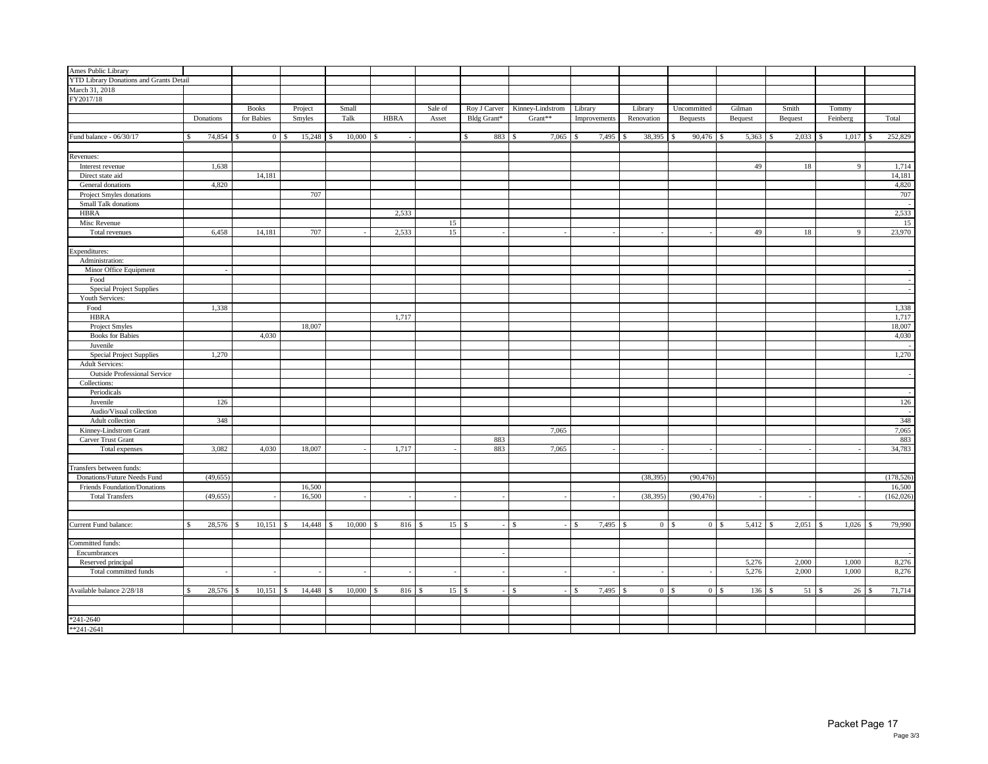| Ames Public Library                            |              |           |               |                           |               |                          |             |         |           |                         |          |                               |         |              |              |                |                |         |                        |    |             |            |
|------------------------------------------------|--------------|-----------|---------------|---------------------------|---------------|--------------------------|-------------|---------|-----------|-------------------------|----------|-------------------------------|---------|--------------|--------------|----------------|----------------|---------|------------------------|----|-------------|------------|
| <b>YTD Library Donations and Grants Detail</b> |              |           |               |                           |               |                          |             |         |           |                         |          |                               |         |              |              |                |                |         |                        |    |             |            |
| March 31, 2018                                 |              |           |               |                           |               |                          |             |         |           |                         |          |                               |         |              |              |                |                |         |                        |    |             |            |
| FY2017/18                                      |              |           |               |                           |               |                          |             |         |           |                         |          |                               |         |              |              |                |                |         |                        |    |             |            |
|                                                |              |           | <b>Books</b>  | Project                   | Small         |                          |             | Sale of |           |                         |          | Roy J Carver Kinney-Lindstrom | Library |              | Library      |                | Uncommitted    | Gilman  | Smith                  |    | Tommy       |            |
|                                                | Donations    |           | for Babies    | Smyles                    | Talk          |                          | <b>HBRA</b> | Asset   |           | Bldg Grant*             |          | Grant**                       |         | Improvements | Renovation   |                | Bequests       | Bequest | Bequest                |    | Feinberg    | Total      |
|                                                |              |           |               |                           |               |                          |             |         |           |                         |          |                               |         |              |              |                |                |         |                        |    |             |            |
| Fund balance - 06/30/17                        | 74,854<br>\$ |           | <sup>\$</sup> | $15,248$ \$<br>$0 \mid S$ |               | 10,000                   | S           |         |           | 883 \$<br><sup>\$</sup> |          | $7,065$ \$                    |         | 7,495        | 38,395<br>-S |                | 90,476         | 5,363   | 2,033<br>S             | -S | 1,017<br>-S | 252,829    |
|                                                |              |           |               |                           |               |                          |             |         |           |                         |          |                               |         |              |              |                |                |         |                        |    |             |            |
|                                                |              |           |               |                           |               |                          |             |         |           |                         |          |                               |         |              |              |                |                |         |                        |    |             |            |
| Revenues:                                      |              |           |               |                           |               |                          |             |         |           |                         |          |                               |         |              |              |                |                |         |                        |    |             |            |
| Interest revenue                               |              | 1,638     |               |                           |               |                          |             |         |           |                         |          |                               |         |              |              |                |                | 49      | 18                     |    | 9           | 1,714      |
| Direct state aid                               |              |           | 14,181        |                           |               |                          |             |         |           |                         |          |                               |         |              |              |                |                |         |                        |    |             | 14,181     |
| General donations                              |              | 4,820     |               |                           |               |                          |             |         |           |                         |          |                               |         |              |              |                |                |         |                        |    |             | 4,820      |
| Project Smyles donations                       |              |           |               | 707                       |               |                          |             |         |           |                         |          |                               |         |              |              |                |                |         |                        |    |             | 707        |
| Small Talk donations                           |              |           |               |                           |               |                          |             |         |           |                         |          |                               |         |              |              |                |                |         |                        |    |             |            |
| <b>HBRA</b>                                    |              |           |               |                           |               |                          | 2,533       |         |           |                         |          |                               |         |              |              |                |                |         |                        |    |             | 2,533      |
| Misc Revenue                                   |              |           |               |                           |               |                          |             | 15      |           |                         |          |                               |         |              |              |                |                |         |                        |    |             | 15         |
| Total revenues                                 |              | 6,458     | 14,181        | 707                       |               |                          | 2,533       | 15      |           |                         |          |                               |         | $\sim$       |              |                |                | 49      | 18                     |    | 9           | 23,970     |
|                                                |              |           |               |                           |               |                          |             |         |           |                         |          |                               |         |              |              |                |                |         |                        |    |             |            |
| Expenditures:                                  |              |           |               |                           |               |                          |             |         |           |                         |          |                               |         |              |              |                |                |         |                        |    |             |            |
| Administration:                                |              |           |               |                           |               |                          |             |         |           |                         |          |                               |         |              |              |                |                |         |                        |    |             |            |
| Minor Office Equipment                         |              |           |               |                           |               |                          |             |         |           |                         |          |                               |         |              |              |                |                |         |                        |    |             |            |
| Food                                           |              |           |               |                           |               |                          |             |         |           |                         |          |                               |         |              |              |                |                |         |                        |    |             |            |
| <b>Special Project Supplies</b>                |              |           |               |                           |               |                          |             |         |           |                         |          |                               |         |              |              |                |                |         |                        |    |             |            |
| Youth Services:                                |              |           |               |                           |               |                          |             |         |           |                         |          |                               |         |              |              |                |                |         |                        |    |             |            |
| Food                                           |              | 1,338     |               |                           |               |                          |             |         |           |                         |          |                               |         |              |              |                |                |         |                        |    |             | 1,338      |
| <b>HBRA</b>                                    |              |           |               |                           |               |                          | 1,717       |         |           |                         |          |                               |         |              |              |                |                |         |                        |    |             | 1,717      |
| Project Smyles                                 |              |           |               | 18,007                    |               |                          |             |         |           |                         |          |                               |         |              |              |                |                |         |                        |    |             | 18,007     |
| <b>Books</b> for Babies                        |              |           | 4,030         |                           |               |                          |             |         |           |                         |          |                               |         |              |              |                |                |         |                        |    |             | 4,030      |
| Juvenile                                       |              |           |               |                           |               |                          |             |         |           |                         |          |                               |         |              |              |                |                |         |                        |    |             |            |
| Special Project Supplies                       |              | 1,270     |               |                           |               |                          |             |         |           |                         |          |                               |         |              |              |                |                |         |                        |    |             | 1,270      |
| <b>Adult Services:</b>                         |              |           |               |                           |               |                          |             |         |           |                         |          |                               |         |              |              |                |                |         |                        |    |             |            |
| <b>Outside Professional Service</b>            |              |           |               |                           |               |                          |             |         |           |                         |          |                               |         |              |              |                |                |         |                        |    |             |            |
| Collections:                                   |              |           |               |                           |               |                          |             |         |           |                         |          |                               |         |              |              |                |                |         |                        |    |             |            |
| Periodicals                                    |              |           |               |                           |               |                          |             |         |           |                         |          |                               |         |              |              |                |                |         |                        |    |             |            |
| Juvenile                                       |              | 126       |               |                           |               |                          |             |         |           |                         |          |                               |         |              |              |                |                |         |                        |    |             | 126        |
| Audio/Visual collection                        |              |           |               |                           |               |                          |             |         |           |                         |          |                               |         |              |              |                |                |         |                        |    |             |            |
| Adult collection                               |              | 348       |               |                           |               |                          |             |         |           |                         |          |                               |         |              |              |                |                |         |                        |    |             | 348        |
| Kinney-Lindstrom Grant                         |              |           |               |                           |               |                          |             |         |           |                         |          | 7,065                         |         |              |              |                |                |         |                        |    |             | 7,065      |
| Carver Trust Grant                             |              |           |               |                           |               |                          |             |         |           | 883                     |          |                               |         |              |              |                |                |         |                        |    |             | 883        |
| Total expenses                                 |              | 3,082     | 4,030         | 18,007                    |               |                          | 1,717       |         |           | 883                     |          | 7,065                         |         |              |              |                |                |         |                        |    |             | 34,783     |
|                                                |              |           |               |                           |               |                          |             |         |           |                         |          |                               |         |              |              |                |                |         |                        |    |             |            |
| ransfers between funds:                        |              |           |               |                           |               |                          |             |         |           |                         |          |                               |         |              |              |                |                |         |                        |    |             |            |
| Donations/Future Needs Fund                    | (49, 655)    |           |               |                           |               |                          |             |         |           |                         |          |                               |         |              | (38, 395)    |                | (90, 476)      |         |                        |    |             | (178, 526) |
| Friends Foundation/Donations                   |              |           |               | 16,500                    |               |                          |             |         |           |                         |          |                               |         |              |              |                |                |         |                        |    |             | 16,500     |
| <b>Total Transfers</b>                         | (49, 655)    |           |               | 16,500                    |               | $\overline{\phantom{a}}$ | $\sim$      | ÷.      |           |                         |          |                               |         | $\sim$       | (38, 395)    |                | (90, 476)      |         |                        |    |             | (162, 026) |
|                                                |              |           |               |                           |               |                          |             |         |           |                         |          |                               |         |              |              |                |                |         |                        |    |             |            |
|                                                |              |           |               |                           |               |                          |             |         |           |                         |          |                               |         |              |              |                |                |         |                        |    |             |            |
| Current Fund balance:                          | \$           | 28,576 \$ |               | 14,448                    | $\mathcal{S}$ | 10,000                   | 816 \$      |         |           | $\sim$                  | - \$     |                               | $-5$    | 7,495        |              | 0 <sup>1</sup> | $\overline{0}$ | 5,412   | 2,051<br>$\mathcal{S}$ | -8 | 1,026<br>\$ | 79,990     |
|                                                |              |           |               |                           |               |                          |             |         |           |                         |          |                               |         |              |              |                |                |         |                        |    |             |            |
| Committed funds:                               |              |           |               |                           |               |                          |             |         |           |                         |          |                               |         |              |              |                |                |         |                        |    |             |            |
| Encumbrances                                   |              |           |               |                           |               |                          |             |         |           |                         |          |                               |         |              |              |                |                |         |                        |    |             |            |
| Reserved principal                             |              |           |               |                           |               |                          |             |         |           |                         |          |                               |         |              |              |                |                | 5,276   | 2,000                  |    | 1,000       | 8,276      |
| Total committed funds                          |              | ÷,        | $\sim$        | $\sim$                    |               | $\sim$                   | $\sim$      |         | $\sim$    | $\sim$                  |          | $\sim$                        |         | $\sim$       |              | $\sim$         | $\sim$         | 5,276   | 2,000                  |    | 1,000       | 8,276      |
|                                                |              |           |               |                           |               |                          |             |         |           |                         |          |                               |         |              |              |                |                |         |                        |    |             |            |
| Available balance 2/28/18                      | S            |           | $10,151$ \$   | 14,448                    | $\sim$        | 10,000                   | 816S        |         | $15$ \ \$ | $\sim$                  | <b>S</b> | $-1$ \$                       |         | 7,495        |              | 0 <sup>1</sup> | $\overline{0}$ | 136     | S                      |    | 26<br>-S    | 71,714     |
|                                                |              |           |               |                           |               |                          |             |         |           |                         |          |                               |         |              |              |                |                |         |                        |    |             |            |
|                                                |              |           |               |                           |               |                          |             |         |           |                         |          |                               |         |              |              |                |                |         |                        |    |             |            |
| $*241 - 2640$                                  |              |           |               |                           |               |                          |             |         |           |                         |          |                               |         |              |              |                |                |         |                        |    |             |            |
| $*241-2641$                                    |              |           |               |                           |               |                          |             |         |           |                         |          |                               |         |              |              |                |                |         |                        |    |             |            |
|                                                |              |           |               |                           |               |                          |             |         |           |                         |          |                               |         |              |              |                |                |         |                        |    |             |            |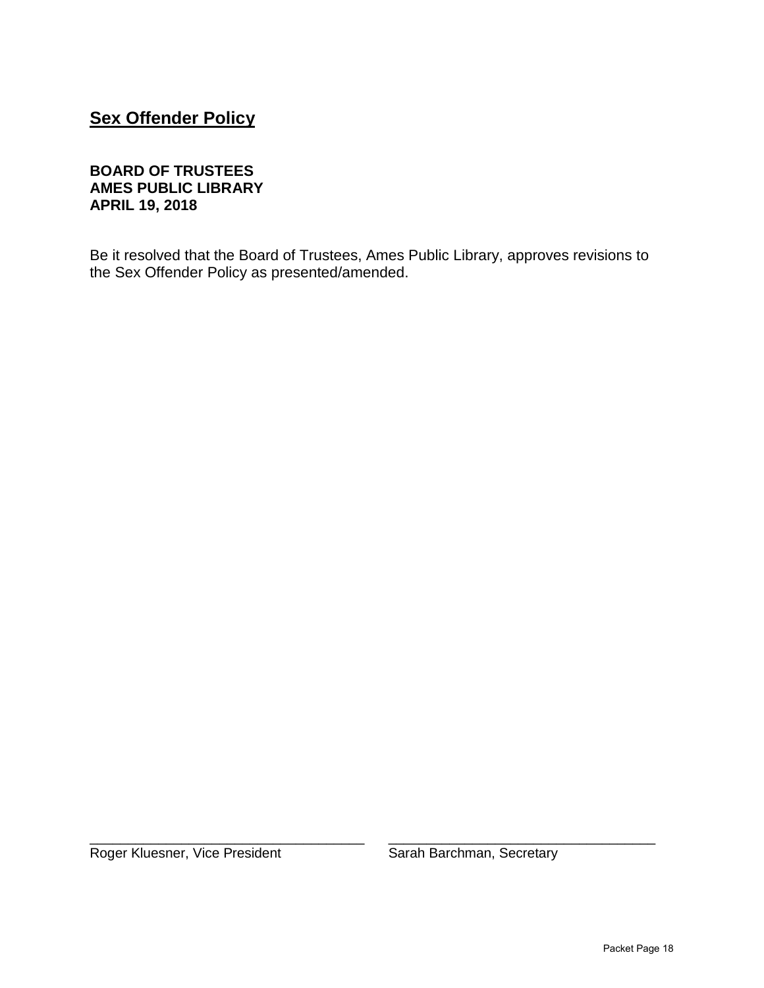## **Sex Offender Policy**

#### **BOARD OF TRUSTEES AMES PUBLIC LIBRARY APRIL 19, 2018**

Be it resolved that the Board of Trustees, Ames Public Library, approves revisions to the Sex Offender Policy as presented/amended.

\_\_\_\_\_\_\_\_\_\_\_\_\_\_\_\_\_\_\_\_\_\_\_\_\_\_\_\_\_\_\_\_\_\_\_\_ \_\_\_\_\_\_\_\_\_\_\_\_\_\_\_\_\_\_\_\_\_\_\_\_\_\_\_\_\_\_\_\_\_\_\_ Roger Kluesner, Vice President Sarah Barchman, Secretary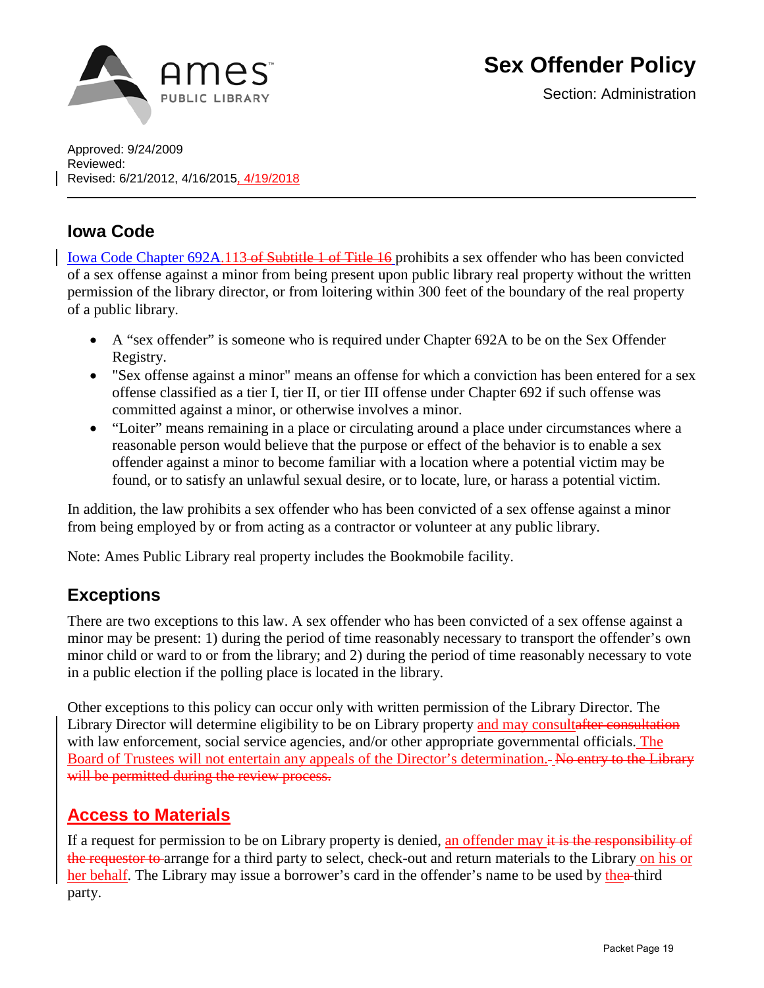

Section: Administration

Approved: 9/24/2009 Reviewed: Revised: 6/21/2012, 4/16/2015, 4/19/2018

## **Iowa Code**

[Iowa Code Chapter 692A.113](https://law.justia.com/codes/iowa/2016/title-xvi/chapter-692a/section-692a.113/) of Subtitle 1 of Title 16 prohibits a sex offender who has been convicted of a sex offense against a minor from being present upon public library real property without the written permission of the library director, or from loitering within 300 feet of the boundary of the real property of a public library.

- A "sex offender" is someone who is required under Chapter 692A to be on the Sex Offender Registry.
- "Sex offense against a minor" means an offense for which a conviction has been entered for a sex offense classified as a tier I, tier II, or tier III offense under Chapter 692 if such offense was committed against a minor, or otherwise involves a minor.
- "Loiter" means remaining in a place or circulating around a place under circumstances where a reasonable person would believe that the purpose or effect of the behavior is to enable a sex offender against a minor to become familiar with a location where a potential victim may be found, or to satisfy an unlawful sexual desire, or to locate, lure, or harass a potential victim.

In addition, the law prohibits a sex offender who has been convicted of a sex offense against a minor from being employed by or from acting as a contractor or volunteer at any public library.

Note: Ames Public Library real property includes the Bookmobile facility.

## **Exceptions**

There are two exceptions to this law. A sex offender who has been convicted of a sex offense against a minor may be present: 1) during the period of time reasonably necessary to transport the offender's own minor child or ward to or from the library; and 2) during the period of time reasonably necessary to vote in a public election if the polling place is located in the library.

Other exceptions to this policy can occur only with written permission of the Library Director. The Library Director will determine eligibility to be on Library property and may consultafter consultation with law enforcement, social service agencies, and/or other appropriate governmental officials. The Board of Trustees will not entertain any appeals of the Director's determination. No entry to the Library will be permitted during the review process.

## **Access to Materials**

If a request for permission to be on Library property is denied, an offender may it is the responsibility of the requestor to arrange for a third party to select, check-out and return materials to the Library on his or her behalf. The Library may issue a borrower's card in the offender's name to be used by the a-third party.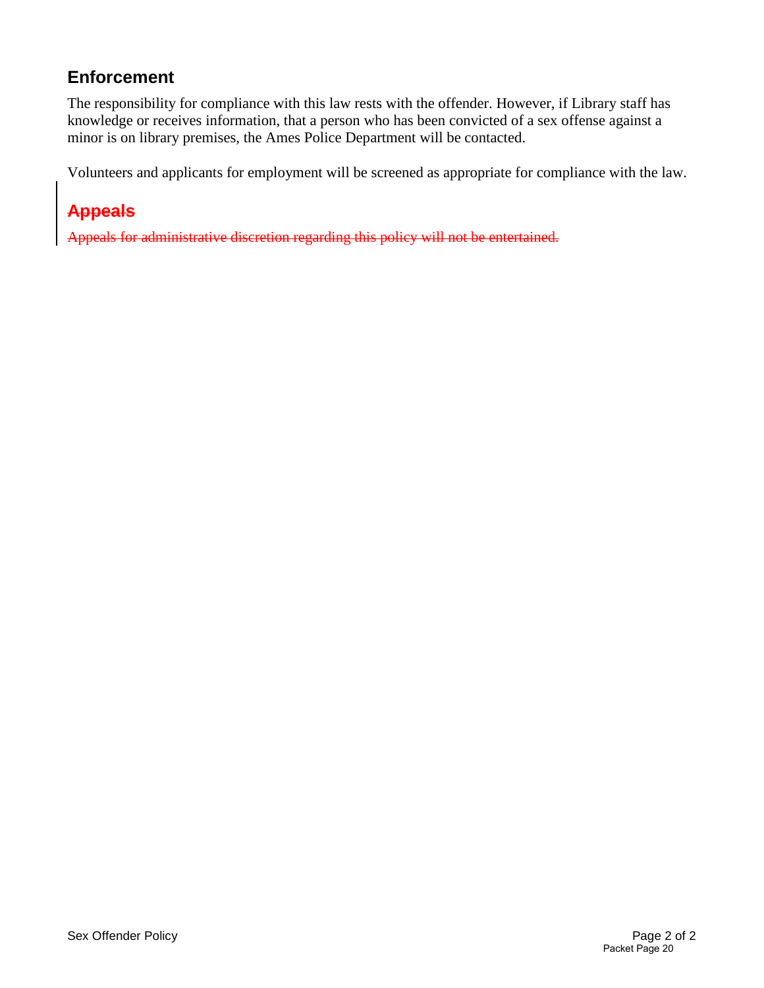## **Enforcement**

The responsibility for compliance with this law rests with the offender. However, if Library staff has knowledge or receives information, that a person who has been convicted of a sex offense against a minor is on library premises, the Ames Police Department will be contacted.

Volunteers and applicants for employment will be screened as appropriate for compliance with the law.

## **Appeals**

Appeals for administrative discretion regarding this policy will not be entertained.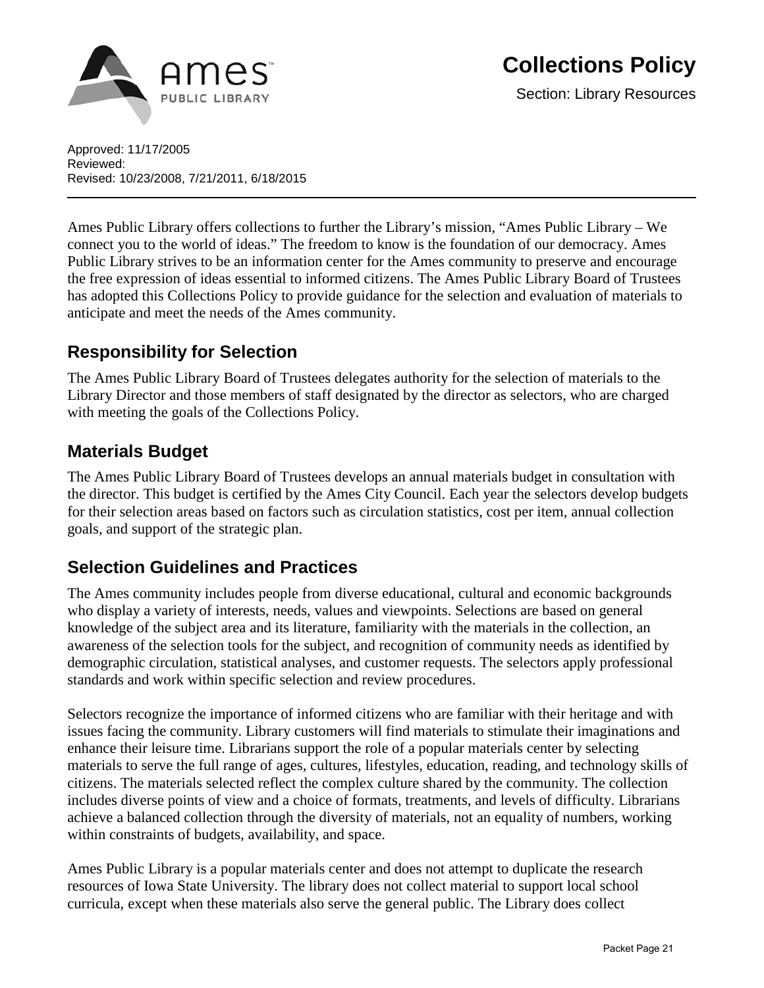

Approved: 11/17/2005 Reviewed: Revised: 10/23/2008, 7/21/2011, 6/18/2015

Ames Public Library offers collections to further the Library's mission, "Ames Public Library – We connect you to the world of ideas." The freedom to know is the foundation of our democracy. Ames Public Library strives to be an information center for the Ames community to preserve and encourage the free expression of ideas essential to informed citizens. The Ames Public Library Board of Trustees has adopted this Collections Policy to provide guidance for the selection and evaluation of materials to anticipate and meet the needs of the Ames community.

## **Responsibility for Selection**

The Ames Public Library Board of Trustees delegates authority for the selection of materials to the Library Director and those members of staff designated by the director as selectors, who are charged with meeting the goals of the Collections Policy.

## **Materials Budget**

The Ames Public Library Board of Trustees develops an annual materials budget in consultation with the director. This budget is certified by the Ames City Council. Each year the selectors develop budgets for their selection areas based on factors such as circulation statistics, cost per item, annual collection goals, and support of the strategic plan.

## **Selection Guidelines and Practices**

The Ames community includes people from diverse educational, cultural and economic backgrounds who display a variety of interests, needs, values and viewpoints. Selections are based on general knowledge of the subject area and its literature, familiarity with the materials in the collection, an awareness of the selection tools for the subject, and recognition of community needs as identified by demographic circulation, statistical analyses, and customer requests. The selectors apply professional standards and work within specific selection and review procedures.

Selectors recognize the importance of informed citizens who are familiar with their heritage and with issues facing the community. Library customers will find materials to stimulate their imaginations and enhance their leisure time. Librarians support the role of a popular materials center by selecting materials to serve the full range of ages, cultures, lifestyles, education, reading, and technology skills of citizens. The materials selected reflect the complex culture shared by the community. The collection includes diverse points of view and a choice of formats, treatments, and levels of difficulty. Librarians achieve a balanced collection through the diversity of materials, not an equality of numbers, working within constraints of budgets, availability, and space.

Ames Public Library is a popular materials center and does not attempt to duplicate the research resources of Iowa State University. The library does not collect material to support local school curricula, except when these materials also serve the general public. The Library does collect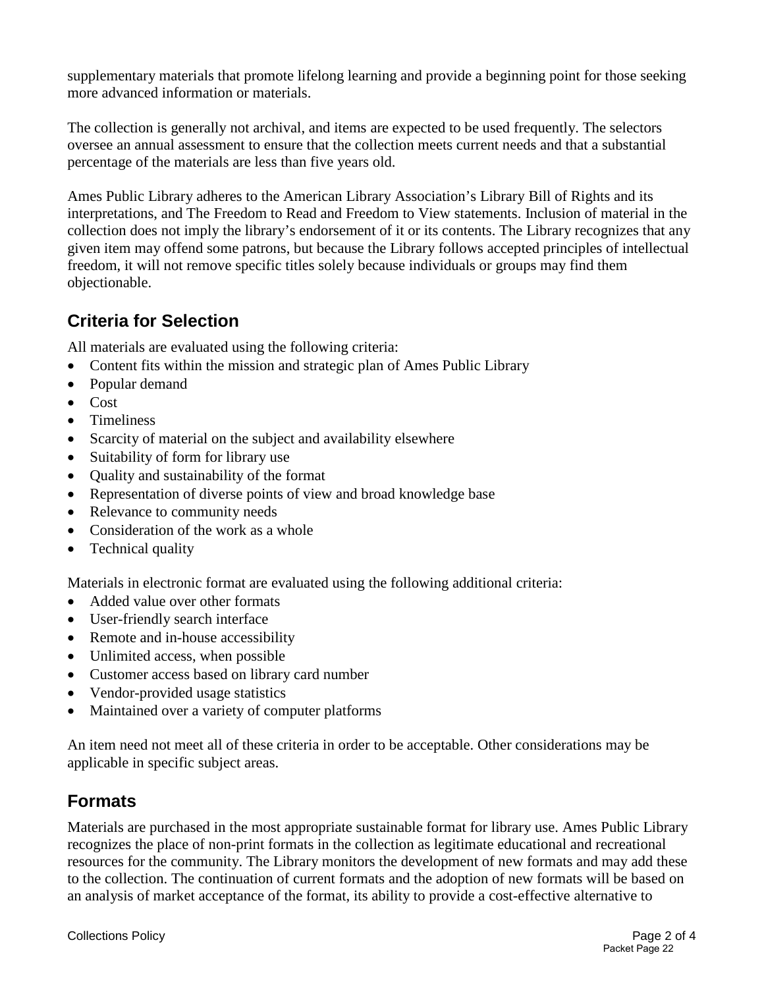supplementary materials that promote lifelong learning and provide a beginning point for those seeking more advanced information or materials.

The collection is generally not archival, and items are expected to be used frequently. The selectors oversee an annual assessment to ensure that the collection meets current needs and that a substantial percentage of the materials are less than five years old.

Ames Public Library adheres to the American Library Association's [Library Bill of Rights a](http://www.ala.org/advocacy/intfreedom/librarybill/)nd it[s](http://www.ala.org/advocacy/intfreedom/librarybill/interpretations) [interpretations,](http://www.ala.org/advocacy/intfreedom/librarybill/interpretations) and [The Freedom to Read](http://www.ala.org/advocacy/intfreedom/statementspols/freedomreadstatement) and [Freedom to View](http://www.ala.org/advocacy/intfreedom/statementspols/freedomviewstatement) statements. Inclusion of material in the collection does not imply the library's endorsement of it or its contents. The Library recognizes that any given item may offend some patrons, but because the Library follows accepted principles of intellectual freedom, it will not remove specific titles solely because individuals or groups may find them objectionable.

## **Criteria for Selection**

All materials are evaluated using the following criteria:

- Content fits within the mission and strategic plan of Ames Public Library
- Popular demand
- Cost
- Timeliness
- Scarcity of material on the subject and availability elsewhere
- Suitability of form for library use
- Quality and sustainability of the format
- Representation of diverse points of view and broad knowledge base
- Relevance to community needs
- Consideration of the work as a whole
- Technical quality

Materials in electronic format are evaluated using the following additional criteria:

- Added value over other formats
- User-friendly search interface
- Remote and in-house accessibility
- Unlimited access, when possible
- Customer access based on library card number
- Vendor-provided usage statistics
- Maintained over a variety of computer platforms

An item need not meet all of these criteria in order to be acceptable. Other considerations may be applicable in specific subject areas.

## **Formats**

Materials are purchased in the most appropriate sustainable format for library use. Ames Public Library recognizes the place of non-print formats in the collection as legitimate educational and recreational resources for the community. The Library monitors the development of new formats and may add these to the collection. The continuation of current formats and the adoption of new formats will be based on an analysis of market acceptance of the format, its ability to provide a cost-effective alternative to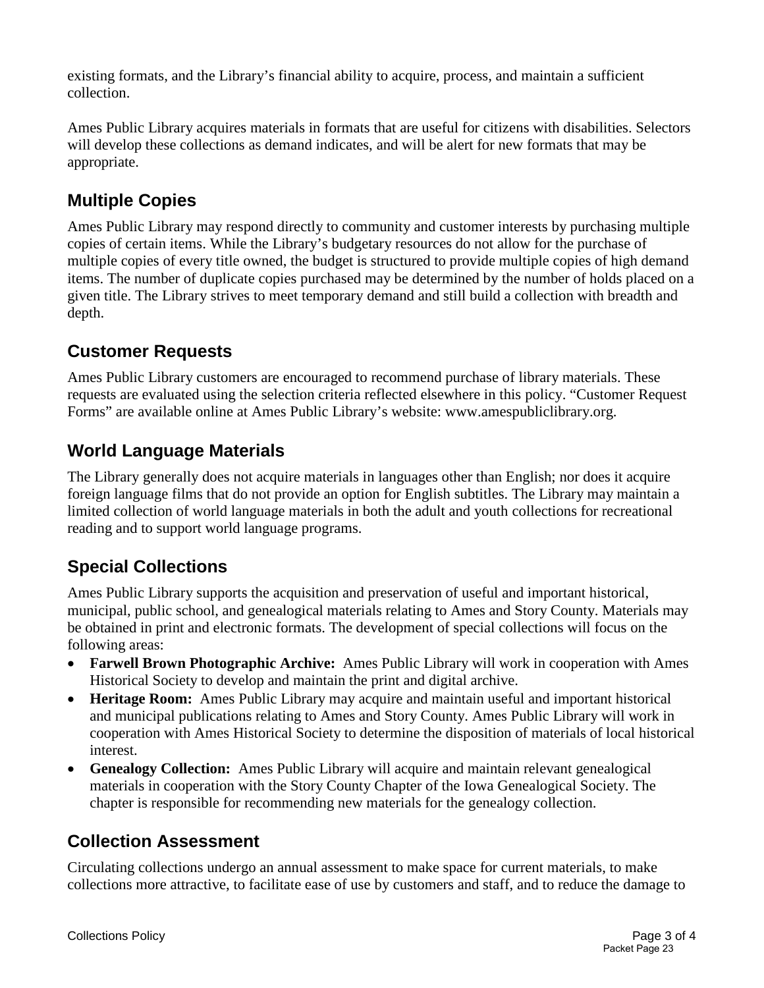existing formats, and the Library's financial ability to acquire, process, and maintain a sufficient collection.

Ames Public Library acquires materials in formats that are useful for citizens with disabilities. Selectors will develop these collections as demand indicates, and will be alert for new formats that may be appropriate.

## **Multiple Copies**

Ames Public Library may respond directly to community and customer interests by purchasing multiple copies of certain items. While the Library's budgetary resources do not allow for the purchase of multiple copies of every title owned, the budget is structured to provide multiple copies of high demand items. The number of duplicate copies purchased may be determined by the number of holds placed on a given title. The Library strives to meet temporary demand and still build a collection with breadth and depth.

## **Customer Requests**

Ames Public Library customers are encouraged to recommend purchase of library materials. These requests are evaluated using the selection criteria reflected elsewhere in this policy. "Customer Request Forms" are available online at Ames Public Library's website: www.amespubliclibrary.org.

## **World Language Materials**

The Library generally does not acquire materials in languages other than English; nor does it acquire foreign language films that do not provide an option for English subtitles. The Library may maintain a limited collection of world language materials in both the adult and youth collections for recreational reading and to support world language programs.

## **Special Collections**

Ames Public Library supports the acquisition and preservation of useful and important historical, municipal, public school, and genealogical materials relating to Ames and Story County. Materials may be obtained in print and electronic formats. The development of special collections will focus on the following areas:

- **Farwell Brown Photographic Archive:** Ames Public Library will work in cooperation with Ames Historical Society to develop and maintain the print and digital archive.
- **Heritage Room:** Ames Public Library may acquire and maintain useful and important historical and municipal publications relating to Ames and Story County. Ames Public Library will work in cooperation with Ames Historical Society to determine the disposition of materials of local historical interest.
- **Genealogy Collection:** Ames Public Library will acquire and maintain relevant genealogical materials in cooperation with the Story County Chapter of the Iowa Genealogical Society. The chapter is responsible for recommending new materials for the genealogy collection.

## **Collection Assessment**

Circulating collections undergo an annual assessment to make space for current materials, to make collections more attractive, to facilitate ease of use by customers and staff, and to reduce the damage to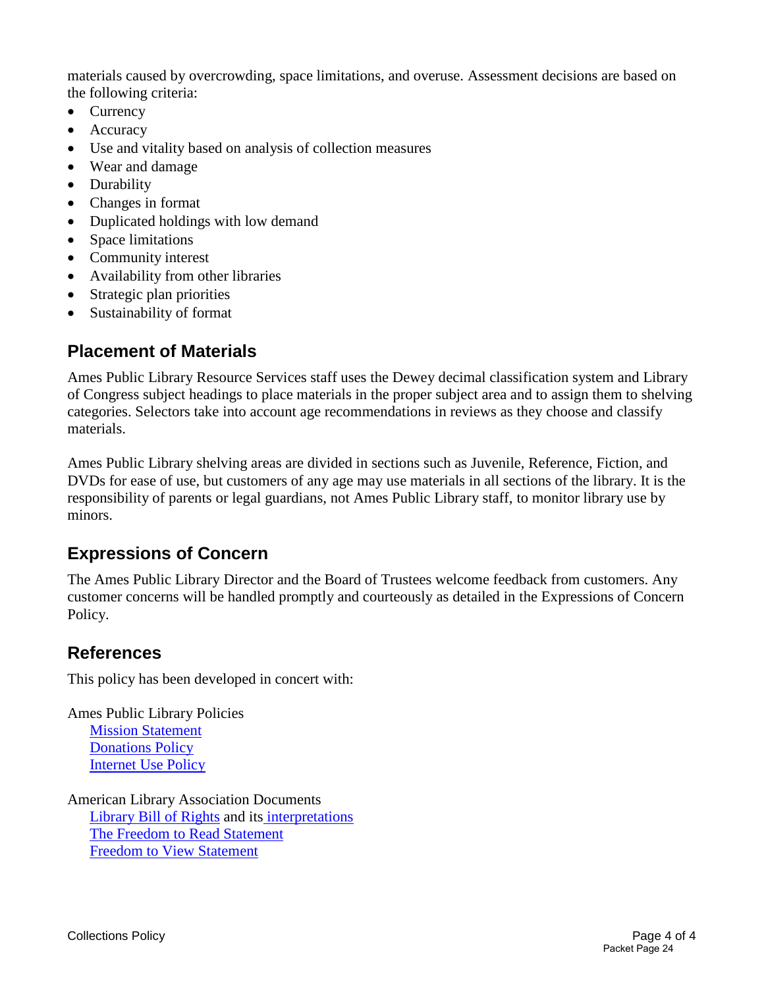materials caused by overcrowding, space limitations, and overuse. Assessment decisions are based on the following criteria:

- Currency
- Accuracy
- Use and vitality based on analysis of collection measures
- Wear and damage
- Durability
- Changes in format
- Duplicated holdings with low demand
- Space limitations
- Community interest
- Availability from other libraries
- Strategic plan priorities
- Sustainability of format

## **Placement of Materials**

Ames Public Library Resource Services staff uses the Dewey decimal classification system and Library of Congress subject headings to place materials in the proper subject area and to assign them to shelving categories. Selectors take into account age recommendations in reviews as they choose and classify materials.

Ames Public Library shelving areas are divided in sections such as Juvenile, Reference, Fiction, and DVDs for ease of use, but customers of any age may use materials in all sections of the library. It is the responsibility of parents or legal guardians, not Ames Public Library staff, to monitor library use by minors.

## **Expressions of Concern**

The Ames Public Library Director and the Board of Trustees welcome feedback from customers. Any customer concerns will be handled promptly and courteously as detailed in the Expressions of Concern Policy.

## **References**

This policy has been developed in concert with:

Ames Public Library Policies

[Mission Statement](http://www.amespubliclibrary.org/Docs_PDFs/Policy/MissionValuesStrategicPlanningPolicy.pdf) [Donations Policy](http://www.amespubliclibrary.org/Docs_PDFs/Policy/Donations.pdf) [Internet Use Policy](http://www.amespubliclibrary.org/Docs_PDFs/Policy/InternetUsePolicyandGuidelines.pdf)

American Library Association Documents [Library Bill of Rights](http://www.ala.org/advocacy/intfreedom/librarybill/) and its [interpretations](http://www.ala.org/advocacy/intfreedom/librarybill/interpretations) [The Freedom to Read Statement](http://www.ala.org/advocacy/intfreedom/statementspols/freedomreadstatement) [Freedom to View Statement](http://www.ala.org/advocacy/intfreedom/statementspols/freedomviewstatement)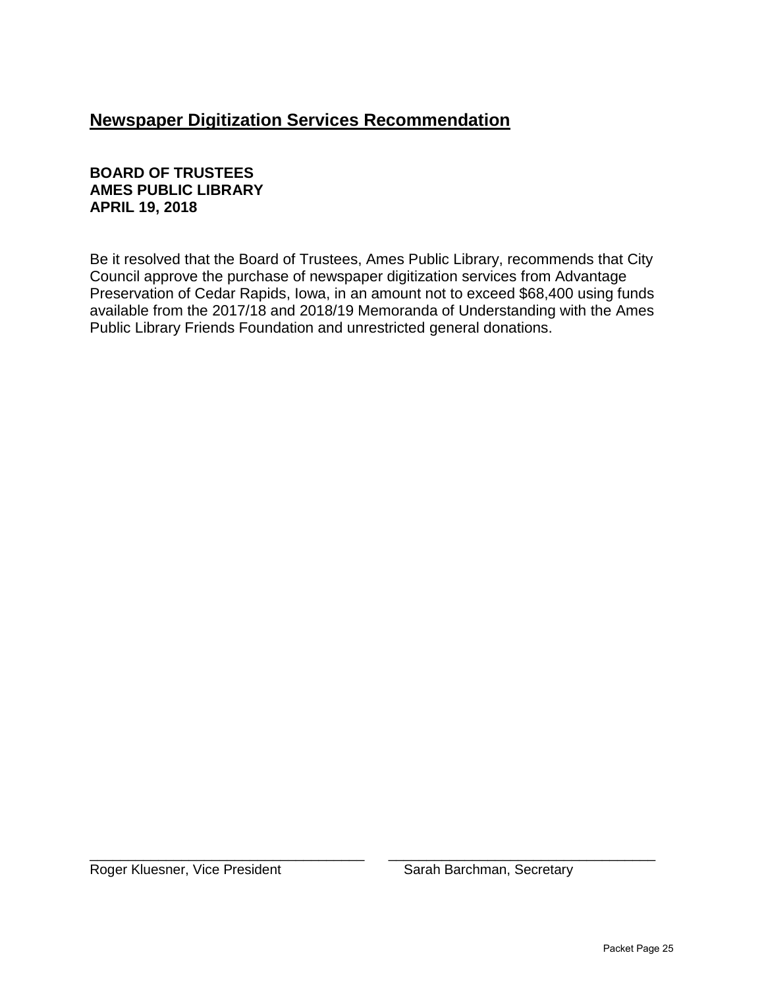## **Newspaper Digitization Services Recommendation**

#### **BOARD OF TRUSTEES AMES PUBLIC LIBRARY APRIL 19, 2018**

Be it resolved that the Board of Trustees, Ames Public Library, recommends that City Council approve the purchase of newspaper digitization services from Advantage Preservation of Cedar Rapids, Iowa, in an amount not to exceed \$68,400 using funds available from the 2017/18 and 2018/19 Memoranda of Understanding with the Ames Public Library Friends Foundation and unrestricted general donations.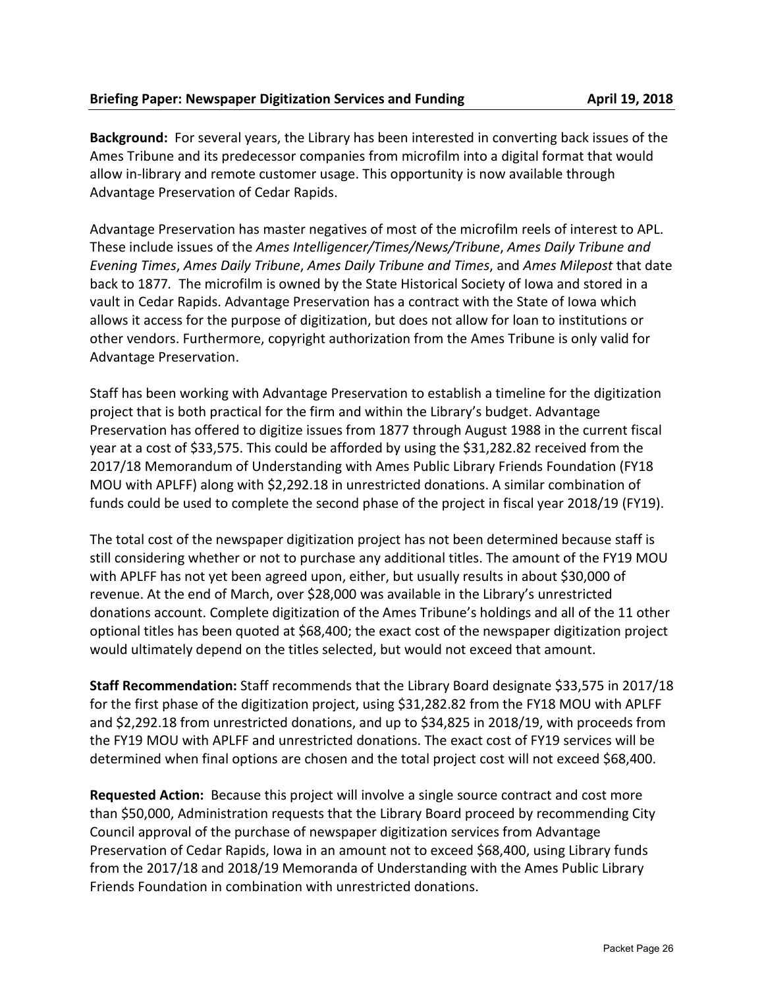**Background:** For several years, the Library has been interested in converting back issues of the Ames Tribune and its predecessor companies from microfilm into a digital format that would allow in-library and remote customer usage. This opportunity is now available through Advantage Preservation of Cedar Rapids.

Advantage Preservation has master negatives of most of the microfilm reels of interest to APL. These include issues of the *Ames Intelligencer/Times/News/Tribune*, *Ames Daily Tribune and Evening Times*, *Ames Daily Tribune*, *Ames Daily Tribune and Times*, and *Ames Milepost* that date back to 1877*.* The microfilm is owned by the State Historical Society of Iowa and stored in a vault in Cedar Rapids. Advantage Preservation has a contract with the State of Iowa which allows it access for the purpose of digitization, but does not allow for loan to institutions or other vendors. Furthermore, copyright authorization from the Ames Tribune is only valid for Advantage Preservation.

Staff has been working with Advantage Preservation to establish a timeline for the digitization project that is both practical for the firm and within the Library's budget. Advantage Preservation has offered to digitize issues from 1877 through August 1988 in the current fiscal year at a cost of \$33,575. This could be afforded by using the \$31,282.82 received from the 2017/18 Memorandum of Understanding with Ames Public Library Friends Foundation (FY18 MOU with APLFF) along with \$2,292.18 in unrestricted donations. A similar combination of funds could be used to complete the second phase of the project in fiscal year 2018/19 (FY19).

The total cost of the newspaper digitization project has not been determined because staff is still considering whether or not to purchase any additional titles. The amount of the FY19 MOU with APLFF has not yet been agreed upon, either, but usually results in about \$30,000 of revenue. At the end of March, over \$28,000 was available in the Library's unrestricted donations account. Complete digitization of the Ames Tribune's holdings and all of the 11 other optional titles has been quoted at \$68,400; the exact cost of the newspaper digitization project would ultimately depend on the titles selected, but would not exceed that amount.

**Staff Recommendation:** Staff recommends that the Library Board designate \$33,575 in 2017/18 for the first phase of the digitization project, using \$31,282.82 from the FY18 MOU with APLFF and \$2,292.18 from unrestricted donations, and up to \$34,825 in 2018/19, with proceeds from the FY19 MOU with APLFF and unrestricted donations. The exact cost of FY19 services will be determined when final options are chosen and the total project cost will not exceed \$68,400.

**Requested Action:** Because this project will involve a single source contract and cost more than \$50,000, Administration requests that the Library Board proceed by recommending City Council approval of the purchase of newspaper digitization services from Advantage Preservation of Cedar Rapids, Iowa in an amount not to exceed \$68,400, using Library funds from the 2017/18 and 2018/19 Memoranda of Understanding with the Ames Public Library Friends Foundation in combination with unrestricted donations.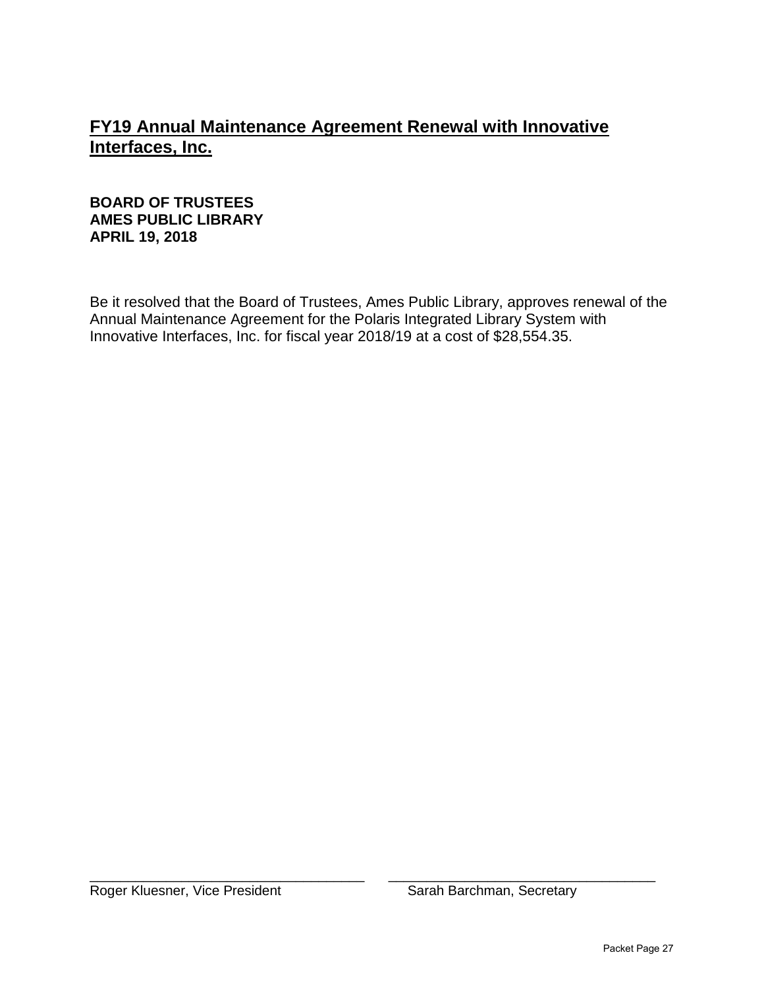## **FY19 Annual Maintenance Agreement Renewal with Innovative Interfaces, Inc.**

#### **BOARD OF TRUSTEES AMES PUBLIC LIBRARY APRIL 19, 2018**

Be it resolved that the Board of Trustees, Ames Public Library, approves renewal of the Annual Maintenance Agreement for the Polaris Integrated Library System with Innovative Interfaces, Inc. for fiscal year 2018/19 at a cost of \$28,554.35.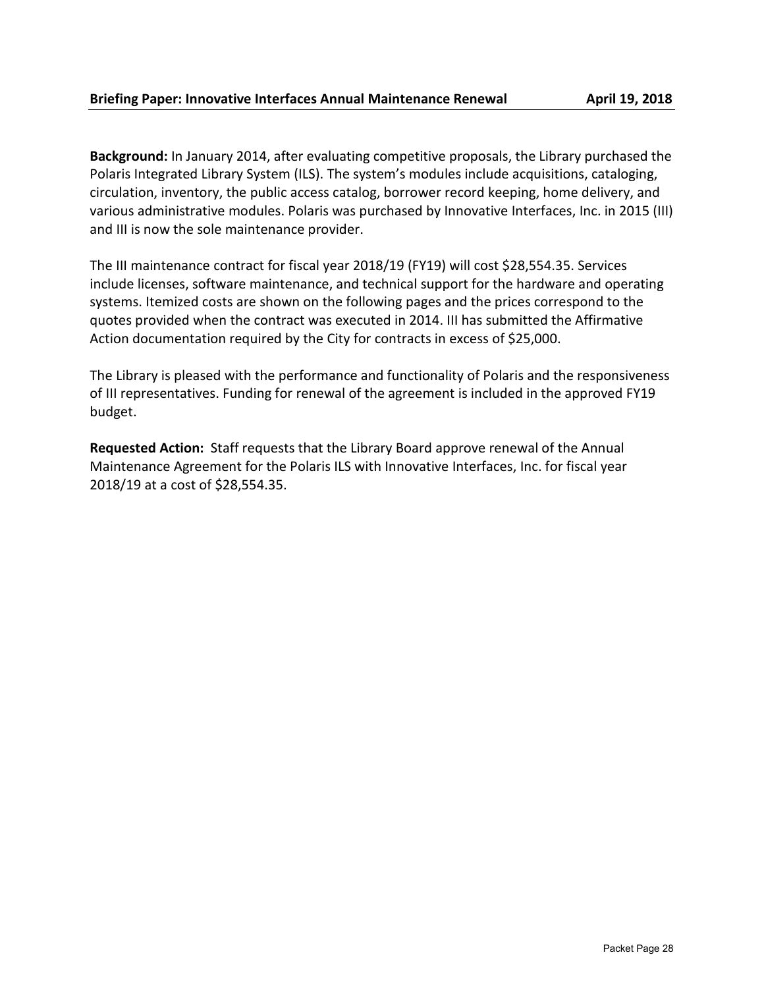**Background:** In January 2014, after evaluating competitive proposals, the Library purchased the Polaris Integrated Library System (ILS). The system's modules include acquisitions, cataloging, circulation, inventory, the public access catalog, borrower record keeping, home delivery, and various administrative modules. Polaris was purchased by Innovative Interfaces, Inc. in 2015 (III) and III is now the sole maintenance provider.

The III maintenance contract for fiscal year 2018/19 (FY19) will cost \$28,554.35. Services include licenses, software maintenance, and technical support for the hardware and operating systems. Itemized costs are shown on the following pages and the prices correspond to the quotes provided when the contract was executed in 2014. III has submitted the Affirmative Action documentation required by the City for contracts in excess of \$25,000.

The Library is pleased with the performance and functionality of Polaris and the responsiveness of III representatives. Funding for renewal of the agreement is included in the approved FY19 budget.

**Requested Action:** Staff requests that the Library Board approve renewal of the Annual Maintenance Agreement for the Polaris ILS with Innovative Interfaces, Inc. for fiscal year 2018/19 at a cost of \$28,554.35.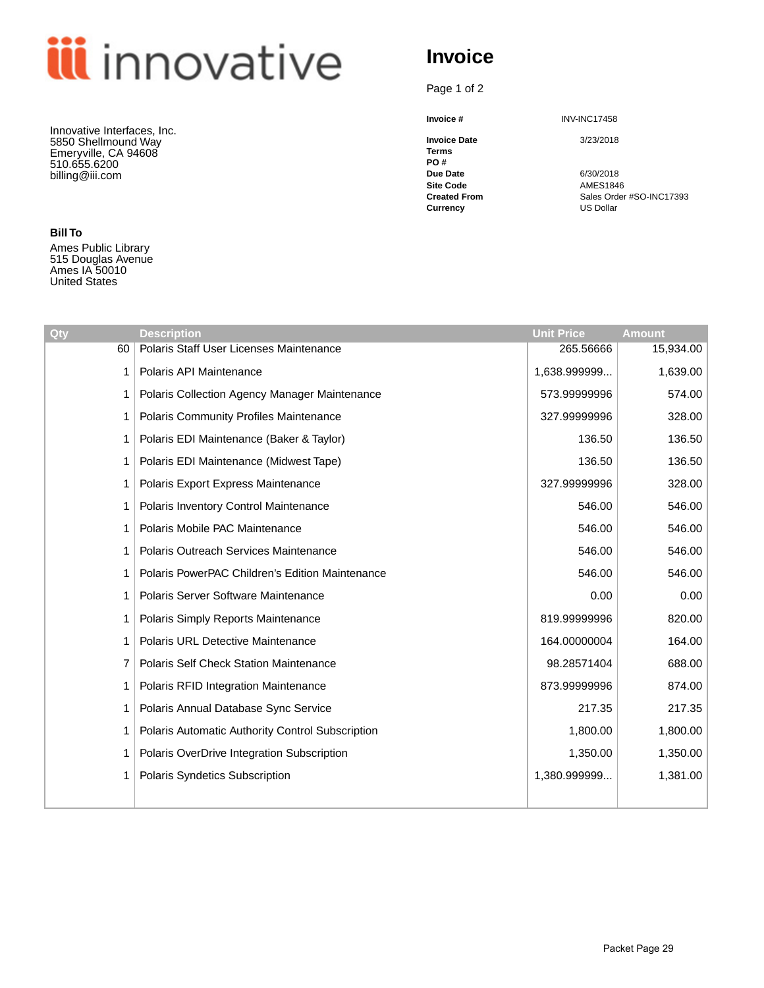# **iii** innovative

Innovative Interfaces, Inc. 5850 Shellmound Way Emeryville, CA 94608 510.655.6200 billing@iii.com

**Bill To**

Ames Public Library 515 Douglas Avenue Ames IA 50010 United States

# **Invoice**

Page 1 of 2

**Invoice Date** 3/23/2018 **Terms**

**PO # Due Date** 6/30/2018<br> **Site Code** 6.1 AMES1846 **Site Code AMES1846**<br> **Created From** Sales Order

**Invoice #** INV-INC17458

**Created From** Sales Order #SO-INC17393<br> **Currency** US Dollar US Dollar

| Qty | <b>Description</b>                               | <b>Unit Price</b> | <b>Amount</b> |
|-----|--------------------------------------------------|-------------------|---------------|
| 60  | Polaris Staff User Licenses Maintenance          | 265.56666         | 15,934.00     |
| 1   | Polaris API Maintenance                          | 1,638.999999      | 1,639.00      |
| 1   | Polaris Collection Agency Manager Maintenance    | 573.99999996      | 574.00        |
| 1   | Polaris Community Profiles Maintenance           | 327.99999996      | 328.00        |
| 1   | Polaris EDI Maintenance (Baker & Taylor)         | 136.50            | 136.50        |
| 1   | Polaris EDI Maintenance (Midwest Tape)           | 136.50            | 136.50        |
| 1   | Polaris Export Express Maintenance               | 327.99999996      | 328.00        |
|     | Polaris Inventory Control Maintenance            | 546.00            | 546.00        |
| 1   | Polaris Mobile PAC Maintenance                   | 546.00            | 546.00        |
|     | Polaris Outreach Services Maintenance            | 546.00            | 546.00        |
| 1   | Polaris PowerPAC Children's Edition Maintenance  | 546.00            | 546.00        |
| 1   | Polaris Server Software Maintenance              | 0.00              | 0.00          |
| 1   | Polaris Simply Reports Maintenance               | 819.99999996      | 820.00        |
| 1   | <b>Polaris URL Detective Maintenance</b>         | 164.00000004      | 164.00        |
| 7   | <b>Polaris Self Check Station Maintenance</b>    | 98.28571404       | 688.00        |
| 1   | Polaris RFID Integration Maintenance             | 873.99999996      | 874.00        |
| 1   | Polaris Annual Database Sync Service             | 217.35            | 217.35        |
| 1   | Polaris Automatic Authority Control Subscription | 1,800.00          | 1,800.00      |
| 1   | Polaris OverDrive Integration Subscription       | 1,350.00          | 1,350.00      |
|     | Polaris Syndetics Subscription                   | 1,380.999999      | 1,381.00      |
|     |                                                  |                   |               |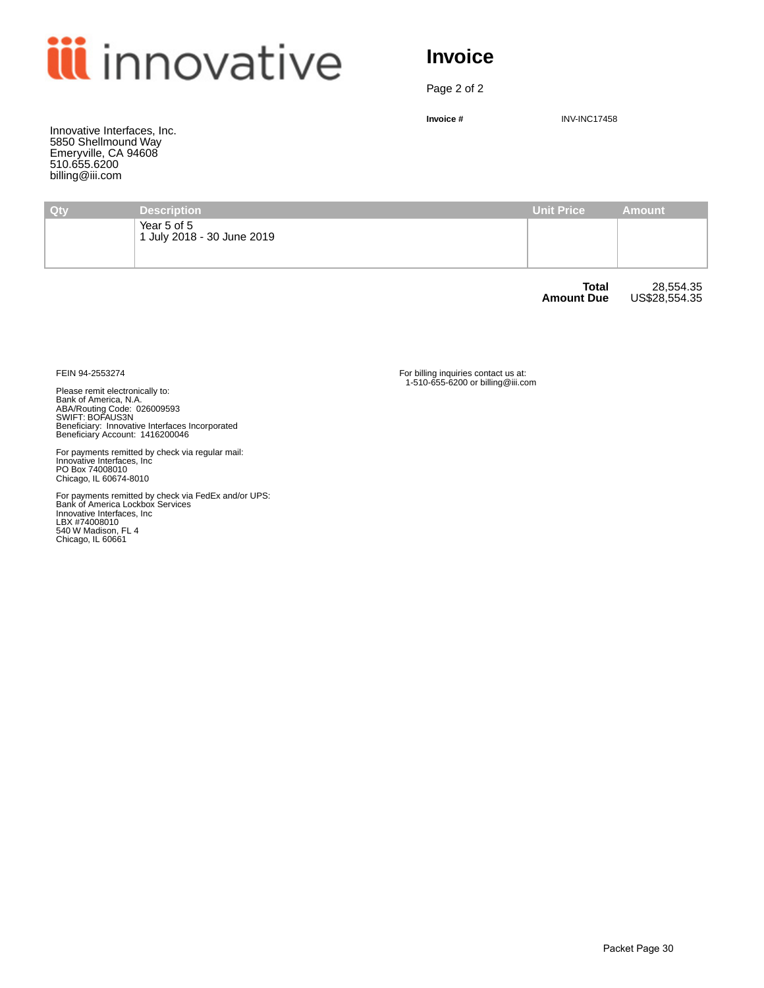

## **Invoice**

Page 2 of 2

**Invoice #** INV-INC17458

Innovative Interfaces, Inc. 5850 Shellmound Way Emeryville, CA 94608 510.655.6200 billing@iii.com

| Qty | <b>Description</b>                        | <b>Unit Price</b>                 | <b>Amount</b>              |
|-----|-------------------------------------------|-----------------------------------|----------------------------|
|     | Year 5 of 5<br>1 July 2018 - 30 June 2019 |                                   |                            |
|     |                                           | <b>Total</b><br><b>Amount Due</b> | 28,554.35<br>US\$28,554.35 |

Please remit electronically to:<br>Bank of America, N.A.<br>ABA/Routing Code: 026009593<br>SWIFT: BOFAUS3N<br>Beneficiary: Innovative Interfaces Incorporated<br>Beneficiary Account: 1416200046

For payments remitted by check via regular mail: Innovative Interfaces, Inc PO Box 74008010 Chicago, IL 60674-8010

For payments remitted by check via FedEx and/or UPS:<br>Bank of America Lockbox Services<br>Innovative Interfaces, Inc<br>LBX #74008010<br>540 W Madison, FL 4<br>Chicago, IL 60661

FEIN 94-2553274 For billing inquiries contact us at: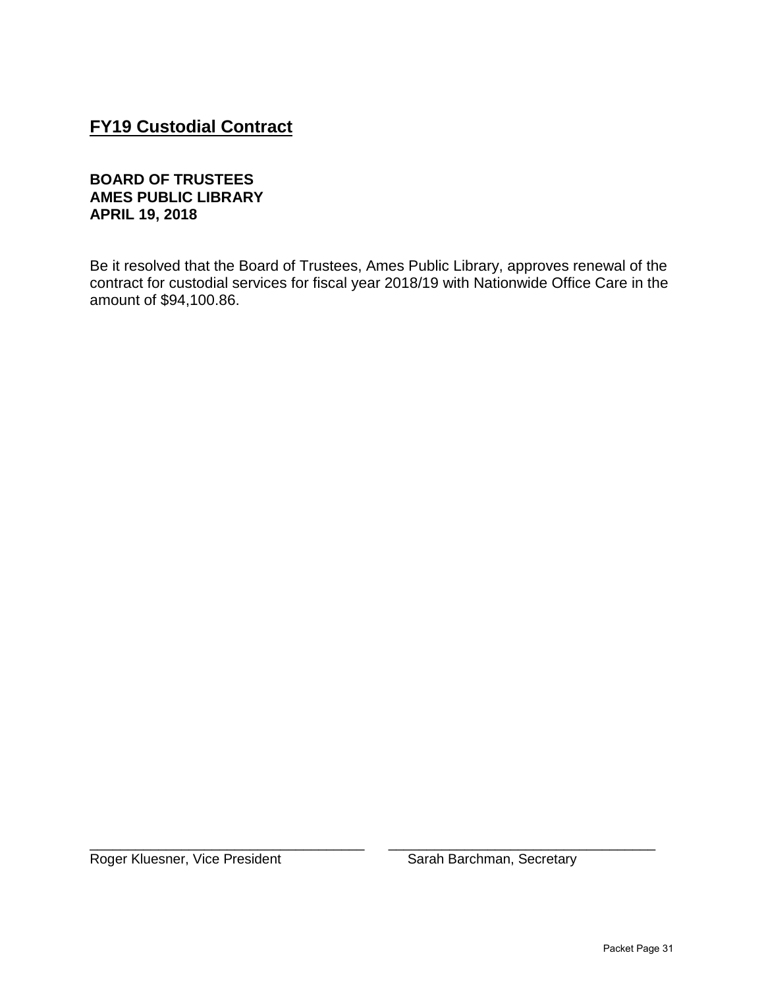## **FY19 Custodial Contract**

#### **BOARD OF TRUSTEES AMES PUBLIC LIBRARY APRIL 19, 2018**

Be it resolved that the Board of Trustees, Ames Public Library, approves renewal of the contract for custodial services for fiscal year 2018/19 with Nationwide Office Care in the amount of \$94,100.86.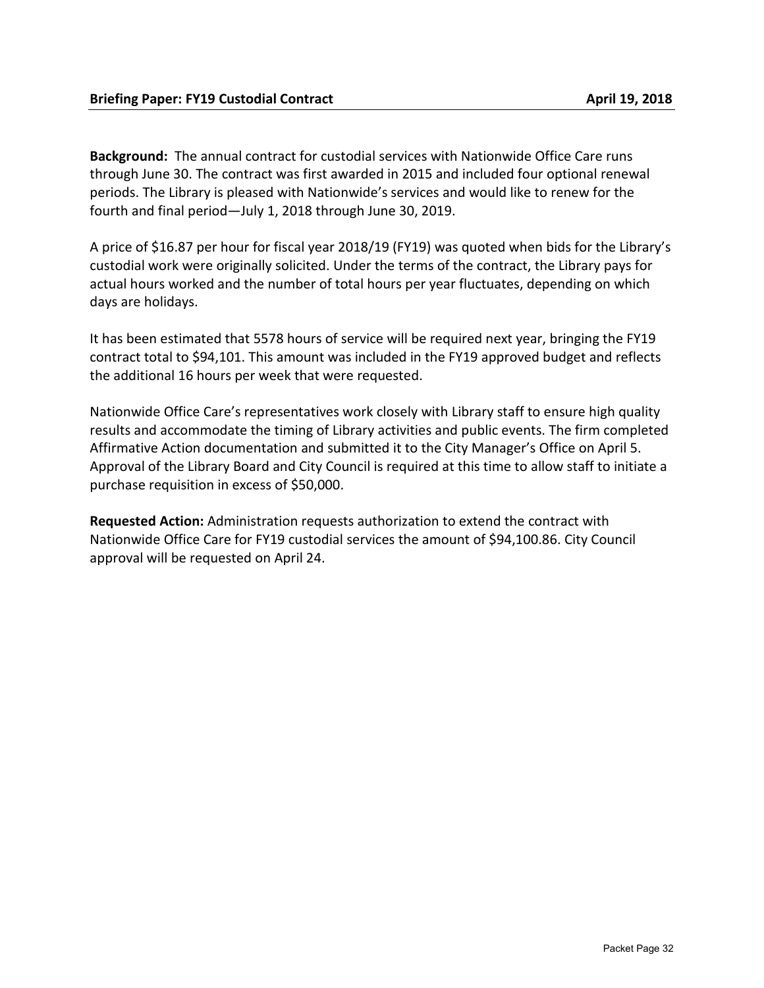**Background:** The annual contract for custodial services with Nationwide Office Care runs through June 30. The contract was first awarded in 2015 and included four optional renewal periods. The Library is pleased with Nationwide's services and would like to renew for the fourth and final period—July 1, 2018 through June 30, 2019.

A price of \$16.87 per hour for fiscal year 2018/19 (FY19) was quoted when bids for the Library's custodial work were originally solicited. Under the terms of the contract, the Library pays for actual hours worked and the number of total hours per year fluctuates, depending on which days are holidays.

It has been estimated that 5578 hours of service will be required next year, bringing the FY19 contract total to \$94,101. This amount was included in the FY19 approved budget and reflects the additional 16 hours per week that were requested.

Nationwide Office Care's representatives work closely with Library staff to ensure high quality results and accommodate the timing of Library activities and public events. The firm completed Affirmative Action documentation and submitted it to the City Manager's Office on April 5. Approval of the Library Board and City Council is required at this time to allow staff to initiate a purchase requisition in excess of \$50,000.

**Requested Action:** Administration requests authorization to extend the contract with Nationwide Office Care for FY19 custodial services the amount of \$94,100.86. City Council approval will be requested on April 24.